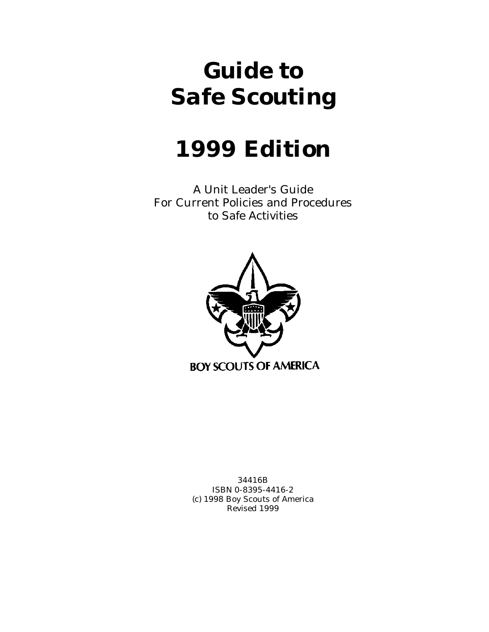# *Guide to Safe Scouting*

# *1999 Edition*

A Unit Leader's Guide For Current Policies and Procedures to Safe Activities



34416B ISBN 0-8395-4416-2 (c) 1998 Boy Scouts of America Revised 1999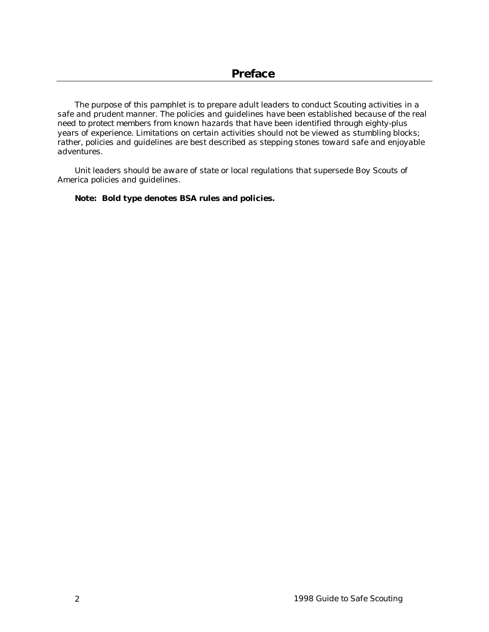<span id="page-1-0"></span>*The purpose of this pamphlet is to prepare adult leaders to conduct Scouting activities in a safe and prudent manner. The policies and guidelines have been established because of the real need to protect members from known hazards that have been identified through eighty-plus years of experience. Limitations on certain activities should not be viewed as stumbling blocks; rather, policies and guidelines are best described as stepping stones toward safe and enjoyable adventures.*

*Unit leaders should be aware of state or local regulations that supersede Boy Scouts of America policies and guidelines.*

**Note: Bold type denotes BSA rules and policies.**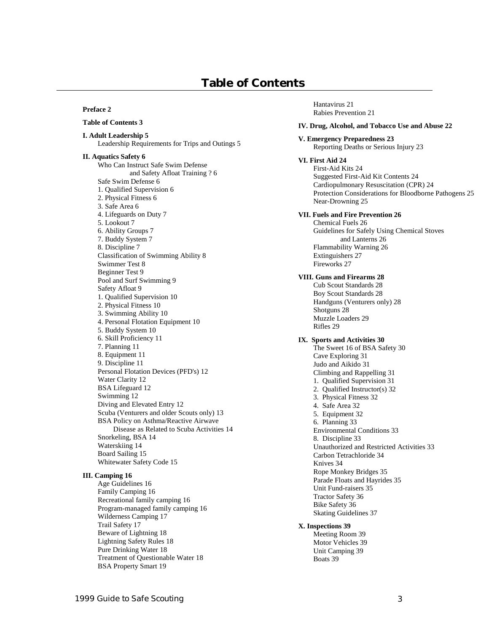# **Table of Contents**

#### **[Preface 2](#page-1-0)**

#### **Table of Contents 3**

**[I. Adult Leadership 5](#page-4-0)** [Leadership Requirements for Trips and Outings 5](#page-4-0)

**[II. Aquatics Safety 6](#page-5-0)** Who Can Instruct Safe Swim Defense [and Safety](#page-5-0) Afloat Training ? 6 [Safe Swim Defense 6](#page-5-0) [1. Qualified Supervision 6](#page-5-0) [2. Physical Fitness 6](#page-5-0) [3. Safe Area 6](#page-5-0) [4. Lifeguards on Duty 7](#page-6-0) [5. Lookout 7](#page-6-0) [6. Ability Groups 7](#page-6-0) [7. Buddy System 7](#page-6-0) [8. Discipline 7](#page-6-0) [Classification of Swimming Ability 8](#page-7-0) [Swimmer Test 8](#page-7-0) [Beginner Test 9](#page-8-0) [Pool and Surf Swimming 9](#page-8-0) [Safety Afloat 9](#page-8-0) [1. Qualified Supervision 10](#page-9-0) [2. Physical Fitness 10](#page-9-0) [3. Swimming Ability 10](#page-9-0) [4. Personal Flotation Equipment 10](#page-9-0) [5. Buddy System 10](#page-9-0) [6. Skill Proficiency 11](#page-10-0) [7. Planning 11](#page-10-0) [8. Equipment 11](#page-10-0) [9. Discipline 11](#page-10-0) [Personal Flotation Devices \(PFD's\) 12](#page-11-0) [Water Clarity 12](#page-11-0) [BSA Lifeguard 12](#page-11-0) [Swimming 12](#page-11-0) [Diving and Elevated Entry 12](#page-11-0) [Scuba \(Venturers and older Scouts only\) 13](#page-12-0) BSA Policy on [Asthma/Reactive Airwave](#page-13-0)  Disease as Related to Scuba Activities 14 [Snorkeling, BSA 14](#page-13-0) [Waterskiing 14](#page-13-0) [Board Sailing 15](#page-14-0) [Whitewater Safety Code 15](#page-14-0)

#### **[III. Camping 16](#page-15-0)**

[Age Guidelines 16](#page-15-0) [Family Camping 16](#page-15-0) [Recreational family camping 16](#page-15-0) [Program-managed family camping 16](#page-15-0) [Wilderness Camping 17](#page-16-0) [Trail Safety 17](#page-16-0) [Beware of Lightning 18](#page-17-0) [Lightning Safety Rules 18](#page-17-0) [Pure Drinking Water 18](#page-17-0) [Treatment of Questionable Water 18](#page-17-0) [BSA Property Smart 19](#page-18-0)

[Hantavirus 21](#page-20-0) [Rabies Prevention 21](#page-20-0)

#### **[IV. Drug, Alcohol, and Tobacco Use and Abuse 22](#page-21-0)**

#### **[V. Emergency Preparedness 23](#page-22-0)**

[Reporting Deaths or Serious Injury 23](#page-22-0)

#### **[VI. First Aid 24](#page-23-0)**

[First-Aid Kits 24](#page-23-0) [Suggested First-Aid Kit Contents 24](#page-23-0) [Cardiopulmonary Resuscitation \(CPR\) 24](#page-23-0) [Protection Considerations for Bloodborne Pathogens 25](#page-24-0) [Near-Drowning 25](#page-24-0)

#### **[VII. Fuels and Fire Prevention 26](#page-25-0)**

[Chemical Fuels 26](#page-25-0) [Guidelines for Safely](#page-25-0) Using Chemical Stoves and Lanterns 26 [Flammability Warning 26](#page-25-0) [Extinguishers 27](#page-26-0) [Fireworks 27](#page-26-0)

#### **[VIII. Guns and Firearms 28](#page-27-0)**

[Cub Scout Standards 28](#page-27-0) [Boy Scout Standards 28](#page-27-0) [Handguns \(Venturers only\) 28](#page-27-0) [Shotguns 28](#page-27-0) [Muzzle Loaders 29](#page-28-0) [Rifles 29](#page-28-0)

#### **[IX. Sports and Activities 30](#page-29-0)**

[The Sweet 16 of BSA Safety 30](#page-29-0) [Cave Exploring 31](#page-30-0) [Judo and Aikido 31](#page-30-0) [Climbing and Rappelling 31](#page-30-0) [1. Qualified Supervision 31](#page-30-0) [2. Qualified Instructor\(s\) 32](#page-31-0) [3. Physical Fitness 32](#page-31-0) [4. Safe Area 32](#page-31-0) [5. Equipment 32](#page-31-0) [6. Planning 33](#page-32-0) [Environmental Conditions 33](#page-32-0) [8. Discipline 33](#page-32-0) [Unauthorized and Restricted Activities 33](#page-32-0) [Carbon Tetrachloride 34](#page-33-0) [Knives 34](#page-33-0) [Rope Monkey Bridges 35](#page-34-0) [Parade Floats and Hayrides 35](#page-34-0) [Unit Fund-raisers 35](#page-34-0) [Tractor Safety 36](#page-35-0) [Bike Safety 36](#page-35-0) [Skating Guidelines 37](#page-36-0)

#### **[X. Inspections 39](#page-38-0)**

[Meeting Room 39](#page-38-0) [Motor Vehicles 39](#page-38-0) [Unit Camping 39](#page-38-0) [Boats 39](#page-38-0)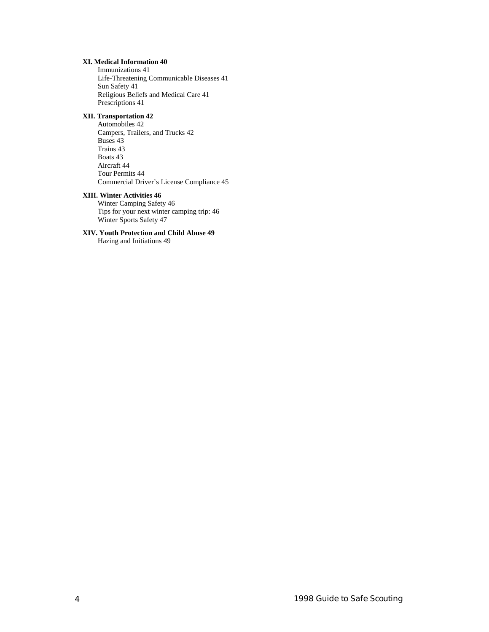#### **[XI. Medical Information 40](#page-39-0)**

[Immunizations 41](#page-40-0) [Life-Threatening Communicable Diseases 41](#page-40-0) [Sun Safety 41](#page-40-0) [Religious Beliefs and Medical Care 41](#page-40-0) [Prescriptions 41](#page-40-0)

#### **[XII. Transportation 42](#page-41-0)**

[Automobiles 42](#page-41-0) [Campers, Trailers, and Trucks 42](#page-41-0) [Buses 43](#page-42-0) [Trains 43](#page-42-0) [Boats 43](#page-42-0) [Aircraft 44](#page-43-0) [Tour Permits 44](#page-43-0) [Commercial Driver's License Compliance 45](#page-44-0)

#### **[XIII. Winter Activities 46](#page-45-0)**

[Winter Camping Safety 46](#page-45-0) [Tips for your next winter camping trip: 46](#page-45-0) [Winter Sports Safety 47](#page-46-0)

## **[XIV. Youth Protection and Child Abuse 49](#page-48-0)**

[Hazing and Initiations 49](#page-48-0)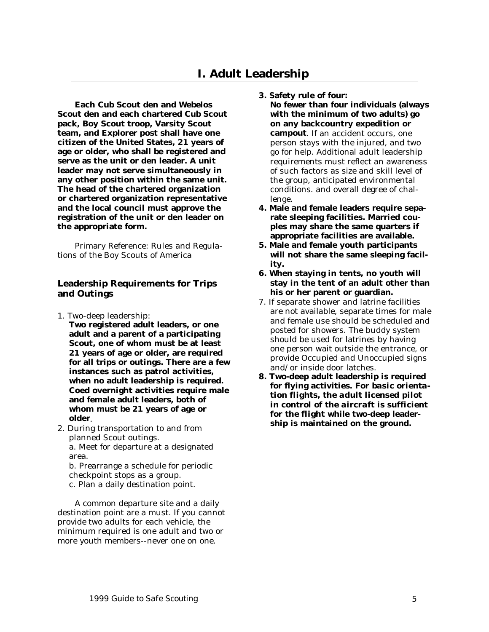# **I. Adult Leadership**

<span id="page-4-0"></span>**Each Cub Scout den and Webelos Scout den and each chartered Cub Scout pack, Boy Scout troop, Varsity Scout team, and Explorer post shall have one citizen of the United States, 21 years of age or older, who shall be registered and serve as the unit or den leader. A unit leader may not serve simultaneously in any other position within the same unit. The head of the chartered organization or chartered organization representative and the local council must approve the registration of the unit or den leader on the appropriate form.**

Primary Reference: Rules and Regulations of the Boy Scouts of America

#### **Leadership Requirements for Trips and Outings**

- 1. Two-deep leadership:
	- **Two registered adult leaders, or one adult and a parent of a participating Scout, one of whom must be at least 21 years of age or older, are required for all trips or outings. There are a few instances such as patrol activities, when no adult leadership is required. Coed overnight activities require male and female adult leaders, both of whom must be 21 years of age or older**.
- 2. During transportation to and from planned Scout outings. a. Meet for departure at a designated area.

b. Prearrange a schedule for periodic checkpoint stops as a group. c. Plan a daily destination point.

A common departure site and a daily destination point are a must. If you cannot provide two adults for each vehicle, the minimum required is one adult and two or more youth members--never one on one.

- **3. Safety rule of four: No fewer than four individuals (always with the minimum of two adults) go on any backcountry expedition or campout**. If an accident occurs, one person stays with the injured, and two go for help. Additional adult leadership requirements must reflect an awareness of such factors as size and skill level of the group, anticipated environmental conditions. and overall degree of challenge.
- **4. Male and female leaders require separate sleeping facilities. Married couples may share the same quarters if appropriate facilities are available.**
- **5. Male and female youth participants will not share the same sleeping facility.**
- **6. When staying in tents, no youth will stay in the tent of an adult other than his or her parent or guardian.**
- 7. If separate shower and latrine facilities are not available, separate times for male and female use should be scheduled and posted for showers. The buddy system should be used for latrines by having one person wait outside the entrance, or provide Occupied and Unoccupied signs and/or inside door latches.
- **8. Two-deep adult leadership is required for flying activities.** *For basic orientation flights, the adult licensed pilot in control of the aircraft is sufficient for the flight* **while two-deep leadership is maintained on the ground.**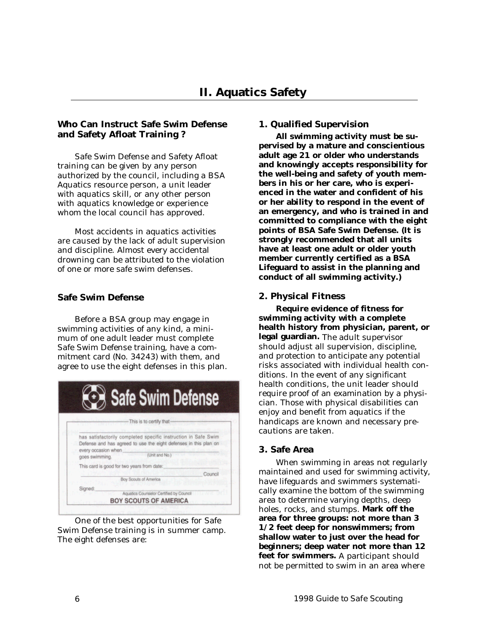## <span id="page-5-0"></span>**Who Can Instruct Safe Swim Defense and Safety Afloat Training ?**

Safe Swim Defense and Safety Afloat training can be given by any person authorized by the council, including a BSA Aquatics resource person, a unit leader with aquatics skill, or any other person with aquatics knowledge or experience whom the local council has approved.

Most accidents in aquatics activities are caused by the lack of adult supervision and discipline. Almost every accidental drowning can be attributed to the violation of one or more safe swim defenses.

## **Safe Swim Defense**

Before a BSA group may engage in swimming activities of any kind, a minimum of one adult leader must complete Safe Swim Defense training, have a commitment card (No. 34243) with them, and agree to use the eight defenses in this plan.

|         | <b>OB</b> Safe Swim Defense                                                                                                                                                                   |
|---------|-----------------------------------------------------------------------------------------------------------------------------------------------------------------------------------------------|
|         | This is to certify that                                                                                                                                                                       |
|         | has satisfactorily completed specific instruction in Safe Swim<br>Defense and has agreed to use the eight defenses in this plan on<br>every occasion when<br>(Unit and No.)<br>goes swimming. |
|         | This card is good for two years from date:                                                                                                                                                    |
|         | Council<br>Boy Scouts of America                                                                                                                                                              |
| Signed: |                                                                                                                                                                                               |
|         | Aquatics Counselor Certified by Council                                                                                                                                                       |

One of the best opportunities for Safe Swim Defense training is in summer camp. The eight defenses are:

#### **1. Qualified Supervision**

**All swimming activity must be supervised by a mature and conscientious adult age 21 or older who understands and knowingly accepts responsibility for the well-being and safety of youth members in his or her care, who is experienced in the water and confident of his or her ability to respond in the event of an emergency, and who is trained in and committed to compliance with the eight points of BSA Safe Swim Defense. (It is strongly recommended that all units have at least one adult or older youth member currently certified as a BSA Lifeguard to assist in the planning and conduct of all swimming activity.)**

## **2. Physical Fitness**

**Require evidence of fitness for swimming activity with a complete health history from physician, parent, or legal guardian.** The adult supervisor should adjust all supervision, discipline, and protection to anticipate any potential risks associated with individual health conditions. In the event of any significant health conditions, the unit leader should require proof of an examination by a physician. Those with physical disabilities can enjoy and benefit from aquatics if the handicaps are known and necessary precautions are taken.

#### **3. Safe Area**

When swimming in areas not regularly maintained and used for swimming activity, have lifeguards and swimmers systematically examine the bottom of the swimming area to determine varying depths, deep holes, rocks, and stumps. **Mark off the area for three groups: not more than 3 1/2 feet deep for nonswimmers; from shallow water to just over the head for beginners; deep water not more than 12 feet for swimmers.** A participant should not be permitted to swim in an area where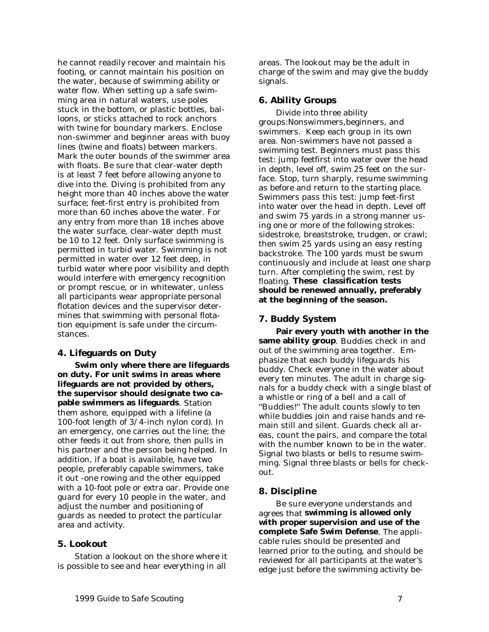<span id="page-6-0"></span>he cannot readily recover and maintain his footing, or cannot maintain his position on the water, because of swimming ability or water flow. When setting up a safe swimming area in natural waters, use poles stuck in the bottom, or plastic bottles, balloons, or sticks attached to rock anchors with twine for boundary markers. Enclose non-swimmer and beginner areas with buoy lines (twine and floats) between markers. Mark the outer bounds of the swimmer area with floats. Be sure that clear-water depth is at least 7 feet before allowing anyone to dive into the. Diving is prohibited from any height more than 40 inches above the water surface; feet-first entry is prohibited from more than 60 inches above the water. For any entry from more than 18 inches above the water surface, clear-water depth must be 10 to 12 feet. Only surface swimming is permitted in turbid water. Swimming is not permitted in water over 12 feet deep, in turbid water where poor visibility and depth would interfere with emergency recognition or prompt rescue, or in whitewater, unless all participants wear appropriate personal flotation devices and the supervisor determines that swimming with personal flotation equipment is safe under the circumstances.

#### **4. Lifeguards on Duty**

**Swim only where there are lifeguards on duty. For unit swims in areas where lifeguards are not provided by others, the supervisor should designate two capable swimmers as lifeguards**. Station them ashore, equipped with a lifeline (a 100-foot length of 3/4-inch nylon cord). In an emergency, one carries out the line; the other feeds it out from shore, then pulls in his partner and the person being helped. In addition, if a boat is available, have two people, preferably capable swimmers, take it out -one rowing and the other equipped with a 10-foot pole or extra oar. Provide one guard for every 10 people in the water, and adjust the number and positioning of guards as needed to protect the particular area and activity.

## **5. Lookout**

Station a lookout on the shore where it is possible to see and hear everything in all

areas. The lookout may be the adult in charge of the swim and may give the buddy signals.

## **6. Ability Groups**

Divide into three ability groups:Nonswimmers,beginners, and swimmers. Keep each group in its own area. Non-swimmers have not passed a swimming test. Beginners must pass this test: jump feetfirst into water over the head in depth, level off, swim 25 feet on the surface. Stop, turn sharply, resume swimming as before and return to the starting place. Swimmers pass this test: jump feet-first into water over the head in depth. Level off and swim 75 yards in a strong manner using one or more of the following strokes: sidestroke, breaststroke, trudgen, or crawl; then swim 25 yards using an easy resting backstroke. The 100 yards must be swum continuously and include at least one sharp turn. After completing the swim, rest by floating. **These classification tests should be renewed annually, preferably at the beginning of the season.**

#### **7. Buddy System**

**Pair every youth with another in the same ability group**. Buddies check in and out of the swimming area together. Emphasize that each buddy lifeguards his buddy. Check everyone in the water about every ten minutes. The adult in charge signals for a buddy check with a single blast of a whistle or ring of a bell and a call of ''Buddies!'' The adult counts slowly to ten while buddies join and raise hands and remain still and silent. Guards check all areas, count the pairs, and compare the total with the number known to be in the water. Signal two blasts or bells to resume swimming. Signal three blasts or bells for checkout.

## **8. Discipline**

Be sure everyone understands and agrees that **swimming is allowed only with proper supervision and use of the complete Safe Swim Defense**. The applicable rules should be presented and learned prior to the outing, and should be reviewed for all participants at the water's edge just before the swimming activity be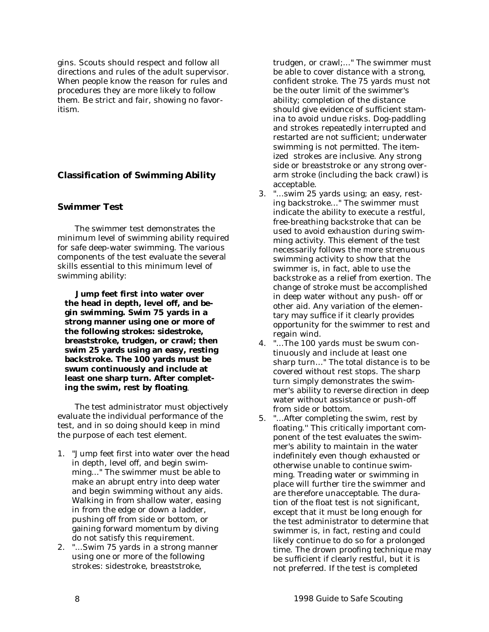<span id="page-7-0"></span>gins. Scouts should respect and follow all directions and rules of the adult supervisor. When people know the reason for rules and procedures they are more likely to follow them. Be strict and fair, showing no favoritism.

## **Classification of Swimming Ability**

#### **Swimmer Test**

The swimmer test demonstrates the minimum level of swimming ability required for safe deep-water swimming. The various components of the test evaluate the several skills essential to this minimum level of swimming ability:

**Jump feet first into water over the head in depth, level off, and begin swimming. Swim 75 yards in a strong manner using one or more of the following strokes: sidestroke, breaststroke, trudgen, or crawl; then swim 25 yards using an easy, resting backstroke. The 100 yards must be swum continuously and include at least one sharp turn. After completing the swim, rest by floating**.

The test administrator must objectively evaluate the individual performance of the test, and in so doing should keep in mind the purpose of each test element.

- 1. "Jump feet first into water over the head in depth, level off, and begin swimming..." The swimmer must be able to make an abrupt entry into deep water and begin swimming without any aids. Walking in from shallow water, easing in from the edge or down a ladder, pushing off from side or bottom, or gaining forward momentum by diving do not satisfy this requirement.
- 2. "...Swim 75 yards in a strong manner using one or more of the following strokes: sidestroke, breaststroke,

trudgen, or crawl;..." The swimmer must be able to cover distance with a strong, confident stroke. The 75 yards must not be the outer limit of the swimmer's ability; completion of the distance should give evidence of sufficient stamina to avoid undue risks. Dog-paddling and strokes repeatedly interrupted and restarted are not sufficient; underwater swimming is not permitted. The itemized strokes are inclusive. Any strong side or breaststroke or any strong overarm stroke (including the back crawl) is acceptable.

- 3. "...swim 25 yards using; an easy, resting backstroke..." The swimmer must indicate the ability to execute a restful, free-breathing backstroke that can be used to avoid exhaustion during swimming activity. This element of the test necessarily follows the more strenuous swimming activity to show that the swimmer is, in fact, able to use the backstroke as a relief from exertion. The change of stroke must be accomplished in deep water without any push- off or other aid. Any variation of the elementary may suffice if it clearly provides opportunity for the swimmer to rest and regain wind.
- 4. "...The 100 yards must be swum continuously and include at least one sharp turn..." The total distance is to be covered without rest stops. The sharp turn simply demonstrates the swimmer's ability to reverse direction in deep water without assistance or push-off from side or bottom.
- 5. "...After completing the swim, rest by floating.'' This critically important component of the test evaluates the swimmer's ability to maintain in the water indefinitely even though exhausted or otherwise unable to continue swimming. Treading water or swimming in place will further tire the swimmer and are therefore unacceptable. The duration of the float test is not significant, except that it must be long enough for the test administrator to determine that swimmer is, in fact, resting and could likely continue to do so for a prolonged time. The drown proofing technique may be sufficient if clearly restful, but it is not preferred. If the test is completed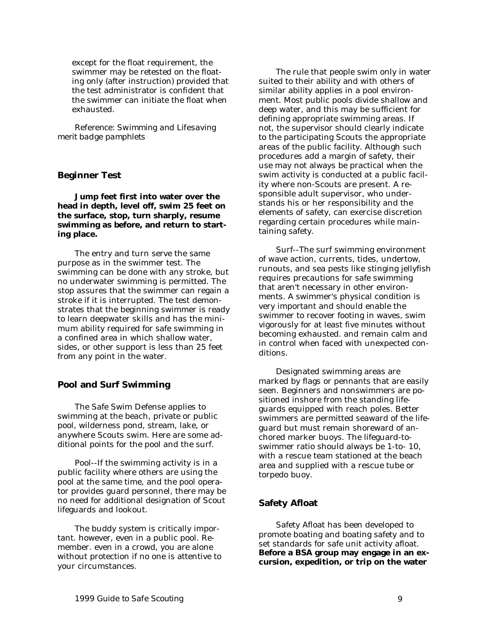<span id="page-8-0"></span>except for the float requirement, the swimmer may be retested on the floating only (after instruction) provided that the test administrator is confident that the swimmer can initiate the float when exhausted.

*Reference: Swimming and Lifesaving merit badge pamphlets*

## **Beginner Test**

**Jump feet first into water over the head in depth, level off, swim 25 feet on the surface, stop, turn sharply, resume swimming as before, and return to starting place.**

The entry and turn serve the same purpose as in the swimmer test. The swimming can be done with any stroke, but no underwater swimming is permitted. The stop assures that the swimmer can regain a stroke if it is interrupted. The test demonstrates that the beginning swimmer is ready to learn deepwater skills and has the minimum ability required for safe swimming in a confined area in which shallow water, sides, or other support is less than 25 feet from any point in the water.

#### **Pool and Surf Swimming**

The Safe Swim Defense applies to swimming at the beach, private or public pool, wilderness pond, stream, lake, or anywhere Scouts swim. Here are some additional points for the pool and the surf.

Pool--If the swimming activity is in a public facility where others are using the pool at the same time, and the pool operator provides guard personnel, there may be no need for additional designation of Scout lifeguards and lookout.

The buddy system is critically important. however, even in a public pool. Remember. even in a crowd, you are alone without protection if no one is attentive to your circumstances.

The rule that people swim only in water suited to their ability and with others of similar ability applies in a pool environment. Most public pools divide shallow and deep water, and this may be sufficient for defining appropriate swimming areas. If not, the supervisor should clearly indicate to the participating Scouts the appropriate areas of the public facility. Although such procedures add a margin of safety, their use may not always be practical when the swim activity is conducted at a public facility where non-Scouts are present. A responsible adult supervisor, who understands his or her responsibility and the elements of safety, can exercise discretion regarding certain procedures while maintaining safety.

Surf--The surf swimming environment of wave action, currents, tides, undertow, runouts, and sea pests like stinging jellyfish requires precautions for safe swimming that aren't necessary in other environments. A swimmer's physical condition is very important and should enable the swimmer to recover footing in waves, swim vigorously for at least five minutes without becoming exhausted. and remain calm and in control when faced with unexpected conditions.

Designated swimming areas are marked by flags or pennants that are easily seen. Beginners and nonswimmers are positioned inshore from the standing lifeguards equipped with reach poles. Better swimmers are permitted seaward of the lifeguard but must remain shoreward of anchored marker buoys. The lifeguard-toswimmer ratio should always be 1-to- 10, with a rescue team stationed at the beach area and supplied with a rescue tube or torpedo buoy.

#### **Safety Afloat**

Safety Afloat has been developed to promote boating and boating safety and to set standards for safe unit activity afloat. **Before a BSA group may engage in an excursion, expedition, or trip on the water**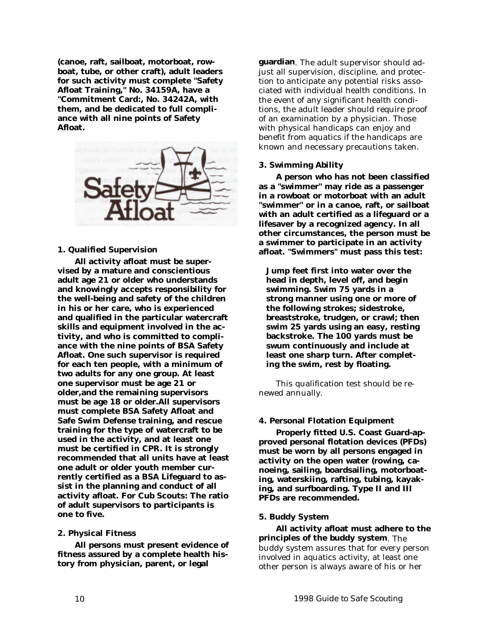<span id="page-9-0"></span>**(canoe, raft, sailboat, motorboat, rowboat, tube, or other craft), adult leaders for such activity must complete "Safety Afloat Training," No. 34159A, have a "Commitment Card:, No. 34242A, with them, and be dedicated to full compliance with all nine points of Safety Afloat.**



#### **1. Qualified Supervision**

**All activity afloat must be supervised by a mature and conscientious adult age 21 or older who understands and knowingly accepts responsibility for the well-being and safety of the children in his or her care, who is experienced and qualified in the particular watercraft skills and equipment involved in the activity, and who is committed to compliance with the nine points of BSA Safety Afloat. One such supervisor is required for each ten people, with a minimum of two adults for any one group. At least one supervisor must be age 21 or older,and the remaining supervisors must be age 18 or older.All supervisors must complete BSA Safety Afloat and Safe Swim Defense training, and rescue training for the type of watercraft to be used in the activity, and at least one must be certified in CPR. It is strongly recommended that all units have at least one adult or older youth member currently certified as a BSA Lifeguard to assist in the planning and conduct of all activity afloat. For Cub Scouts: The ratio of adult supervisors to participants is one to five.**

#### **2. Physical Fitness**

**All persons must present evidence of fitness assured by a complete health history from physician, parent, or legal**

**guardian**. The adult supervisor should adjust all supervision, discipline, and protection to anticipate any potential risks associated with individual health conditions. In the event of any significant health conditions, the adult leader should require proof of an examination by a physician. Those with physical handicaps can enjoy and benefit from aquatics if the handicaps are known and necessary precautions taken.

#### **3. Swimming Ability**

**A person who has not been classified as a "swimmer" may ride as a passenger in a rowboat or motorboat with an adult "swimmer" or in a canoe, raft, or sailboat with an adult certified as a lifeguard or a lifesaver by a recognized agency. In all other circumstances, the person must be a swimmer to participate in an activity afloat. "Swimmers" must pass this test:**

**Jump feet first into water over the head in depth, level off, and begin swimming. Swim 75 yards in a strong manner using one or more of the following strokes; sidestroke, breaststroke, trudgen, or crawl; then swim 25 yards using an easy, resting backstroke. The 100 yards must be swum continuously and include at least one sharp turn. After completing the swim, rest by floating.**

This qualification test should be renewed annually.

#### **4. Personal Flotation Equipment**

**Properly fitted U.S. Coast Guard-approved personal flotation devices (PFDs) must be worn by all persons engaged in activity on the open water (rowing, canoeing, sailing, boardsailing, motorboating, waterskiing, rafting, tubing, kayaking, and surfboarding. Type II and III PFDs are recommended.**

#### **5. Buddy System**

**All activity afloat must adhere to the principles of the buddy system**. The buddy system assures that for every person involved in aquatics activity, at least one other person is always aware of his or her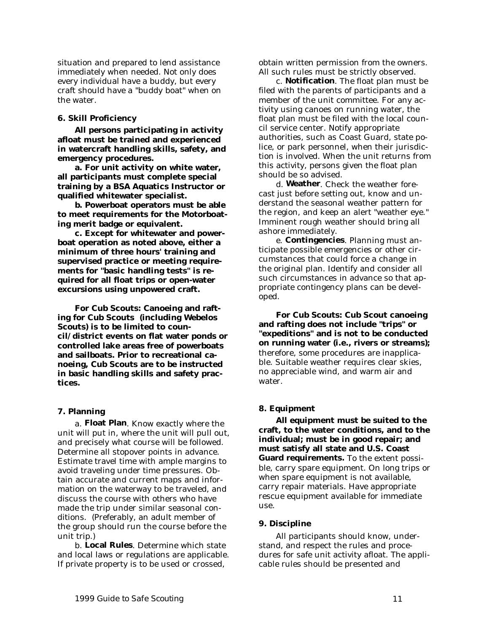<span id="page-10-0"></span>situation and prepared to lend assistance immediately when needed. Not only does every individual have a buddy, but every craft should have a "buddy boat" when on the water.

#### **6. Skill Proficiency**

**All persons participating in activity afloat must be trained and experienced in watercraft handling skills, safety, and emergency procedures.**

**a. For unit activity on white water, all participants must complete special training by a BSA Aquatics Instructor or qualified whitewater specialist.**

**b. Powerboat operators must be able to meet requirements for the Motorboating merit badge or equivalent.**

**c. Except for whitewater and powerboat operation as noted above, either a minimum of three hours' training and supervised practice or meeting requirements for "basic handling tests" is required for all float trips or open-water excursions using unpowered craft.**

**For Cub Scouts: Canoeing and rafting for Cub Scouts (including Webelos Scouts) is to be limited to council/district events on flat water ponds or controlled lake areas free of powerboats and sailboats. Prior to recreational canoeing, Cub Scouts are to be instructed in basic handling skills and safety practices.**

#### **7. Planning**

a. **Float Plan**. Know exactly where the unit will put in, where the unit will pull out, and precisely what course will be followed. Determine all stopover points in advance. Estimate travel time with ample margins to avoid traveling under time pressures. Obtain accurate and current maps and information on the waterway to be traveled, and discuss the course with others who have made the trip under similar seasonal conditions. (Preferably, an adult member of the group should run the course before the unit trip.)

b. **Local Rules**. Determine which state and local laws or regulations are applicable. If private property is to be used or crossed,

obtain written permission from the owners. All such rules must be strictly observed.

c. **Notification**. The float plan must be filed with the parents of participants and a member of the unit committee. For any activity using canoes on running water, the float plan must be filed with the local council service center. Notify appropriate authorities, such as Coast Guard, state police, or park personnel, when their jurisdiction is involved. When the unit returns from this activity, persons given the float plan should be so advised.

d. **Weather**. Check the weather forecast just before setting out, know and understand the seasonal weather pattern for the region, and keep an alert "weather eye." Imminent rough weather should bring all ashore immediately.

e. **Contingencies**. Planning must anticipate possible emergencies or other circumstances that could force a change in the original plan. Identify and consider all such circumstances in advance so that appropriate contingency plans can be developed.

**For Cub Scouts: Cub Scout canoeing and rafting does not include "trips" or "expeditions" and is not to be conducted on running water (i.e., rivers or streams);** therefore, some procedures are inapplicable. Suitable weather requires clear skies, no appreciable wind, and warm air and water.

## **8. Equipment**

**All equipment must be suited to the craft, to the water conditions, and to the individual; must be in good repair; and must satisfy all state and U.S. Coast Guard requirements.** To the extent possible, carry spare equipment. On long trips or when spare equipment is not available, carry repair materials. Have appropriate rescue equipment available for immediate use.

#### **9. Discipline**

All participants should know, understand, and respect the rules and procedures for safe unit activity afloat. The applicable rules should be presented and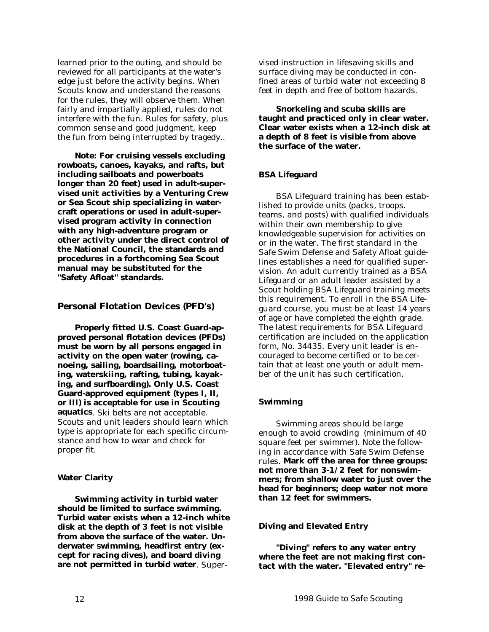<span id="page-11-0"></span>learned prior to the outing, and should be reviewed for all participants at the water's edge just before the activity begins. When Scouts know and understand the reasons for the rules, they will observe them. When fairly and impartially applied, rules do not interfere with the fun. Rules for safety, plus common sense and good judgment, keep the fun from being interrupted by tragedy..

**Note: For cruising vessels excluding rowboats, canoes, kayaks, and rafts, but including sailboats and powerboats longer than 20 feet) used in adult-supervised unit activities by a Venturing Crew or Sea Scout ship specializing in watercraft operations or used in adult-supervised program activity in connection with any high-adventure program or other activity under the direct control of the National Council, the standards and procedures in a forthcoming Sea Scout manual may be substituted for the "Safety Afloat" standards.**

#### **Personal Flotation Devices (PFD's)**

**Properly fitted U.S. Coast Guard-approved personal flotation devices (PFDs) must be worn by all persons engaged in activity on the open water (rowing, canoeing, sailing, boardsailing, motorboating, waterskiing, rafting, tubing, kayaking, and surfboarding). Only U.S. Coast Guard-approved equipment (types I, II, or III) is acceptable for use in Scouting aquatics**. Ski belts are not acceptable. Scouts and unit leaders should learn which type is appropriate for each specific circumstance and how to wear and check for proper fit.

#### **Water Clarity**

**Swimming activity in turbid water should be limited to surface swimming. Turbid water exists when a 12-inch white disk at the depth of 3 feet is not visible from above the surface of the water. Underwater swimming, headfirst entry (except for racing dives), and board diving are not permitted in turbid water**. Supervised instruction in lifesaving skills and surface diving may be conducted in confined areas of turbid water not exceeding 8 feet in depth and free of bottom hazards.

**Snorkeling and scuba skills are taught and practiced only in clear water. Clear water exists when a 12-inch disk at a depth of 8 feet is visible from above the surface of the water.**

#### **BSA Lifeguard**

BSA Lifeguard training has been established to provide units (packs, troops. teams, and posts) with qualified individuals within their own membership to give knowledgeable supervision for activities on or in the water. The first standard in the Safe Swim Defense and Safety Afloat guidelines establishes a need for qualified supervision. An adult currently trained as a BSA Lifeguard or an adult leader assisted by a Scout holding BSA Lifeguard training meets this requirement. To enroll in the BSA Lifeguard course, you must be at least 14 years of age or have completed the eighth grade. The latest requirements for BSA Lifeguard certification are included on the application form, No. 34435. Every unit leader is encouraged to become certified or to be certain that at least one youth or adult member of the unit has such certification.

#### **Swimming**

Swimming areas should be large enough to avoid crowding (minimum of 40 square feet per swimmer). Note the following in accordance with Safe Swim Defense rules. **Mark off the area for three groups: not more than 3-1/2 feet for nonswimmers; from shallow water to just over the head for beginners; deep water not more than 12 feet for swimmers.**

#### **Diving and Elevated Entry**

**"Diving" refers to any water entry where the feet are not making first contact with the water. "Elevated entry" re-**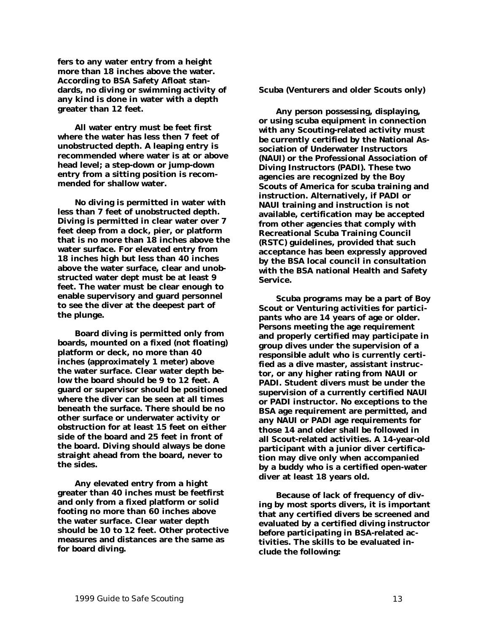<span id="page-12-0"></span>**fers to any water entry from a height more than 18 inches above the water. According to BSA Safety Afloat standards, no diving or swimming activity of any kind is done in water with a depth greater than 12 feet.**

**All water entry must be feet first where the water has less then 7 feet of unobstructed depth. A leaping entry is recommended where water is at or above head level; a step-down or jump-down entry from a sitting position is recommended for shallow water.**

**No diving is permitted in water with less than 7 feet of unobstructed depth. Diving is permitted in clear water over 7 feet deep from a dock, pier, or platform that is no more than 18 inches above the water surface. For elevated entry from 18 inches high but less than 40 inches above the water surface, clear and unobstructed water dept must be at least 9 feet. The water must be clear enough to enable supervisory and guard personnel to see the diver at the deepest part of the plunge.**

**Board diving is permitted only from boards, mounted on a fixed (not floating) platform or deck, no more than 40 inches (approximately 1 meter) above the water surface. Clear water depth below the board should be 9 to 12 feet. A guard or supervisor should be positioned where the diver can be seen at all times beneath the surface. There should be no other surface or underwater activity or obstruction for at least 15 feet on either side of the board and 25 feet in front of the board. Diving should always be done straight ahead from the board, never to the sides.**

**Any elevated entry from a hight greater than 40 inches must be feetfirst and only from a fixed platform or solid footing no more than 60 inches above the water surface. Clear water depth should be 10 to 12 feet. Other protective measures and distances are the same as for board diving.**

**Scuba (Venturers and older Scouts only)**

**Any person possessing, displaying, or using scuba equipment in connection with any Scouting-related activity must be currently certified by the National Association of Underwater Instructors (NAUI) or the Professional Association of Diving Instructors (PADI). These two agencies are recognized by the Boy Scouts of America for scuba training and instruction. Alternatively, if PADI or NAUI training and instruction is not available, certification may be accepted from other agencies that comply with Recreational Scuba Training Council (RSTC) guidelines, provided that such acceptance has been expressly approved by the BSA local council in consultation with the BSA national Health and Safety Service.**

**Scuba programs may be a part of Boy Scout or Venturing activities for participants who are 14 years of age or older. Persons meeting the age requirement and properly certified may participate in group dives under the supervision of a responsible adult who is currently certified as a dive master, assistant instructor, or any higher rating from NAUI or PADI. Student divers must be under the supervision of a currently certified NAUI or PADI instructor. No exceptions to the BSA age requirement are permitted, and any NAUI or PADI age requirements for those 14 and older shall be followed in all Scout-related activities. A 14-year-old participant with a junior diver certification may dive only when accompanied by a buddy who is a certified open-water diver at least 18 years old.**

**Because of lack of frequency of diving by most sports divers, it is important that any certified divers be screened and evaluated by a certified diving instructor before participating in BSA-related activities. The skills to be evaluated include the following:**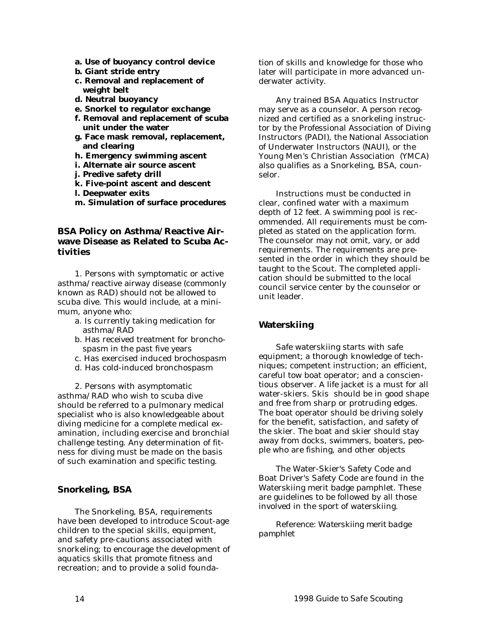- <span id="page-13-0"></span>**a. Use of buoyancy control device**
- **b. Giant stride entry**
- **c. Removal and replacement of weight belt**
- **d. Neutral buoyancy**
- **e. Snorkel to regulator exchange**
- **f. Removal and replacement of scuba unit under the water**
- **g. Face mask removal, replacement, and clearing**
- **h. Emergency swimming ascent**
- **i. Alternate air source ascent**
- **j. Predive safety drill**
- **k. Five-point ascent and descent**
- **l. Deepwater exits**
- **m. Simulation of surface procedures**

## **BSA Policy on Asthma/Reactive Airwave Disease as Related to Scuba Activities**

1. Persons with symptomatic or active asthma/reactive airway disease (commonly known as RAD) should not be allowed to scuba dive. This would include, at a minimum, anyone who:

- a. Is currently taking medication for asthma/RAD
- b. Has received treatment for bronchospasm in the past five years
- c. Has exercised induced brochospasm
- d. Has cold-induced bronchospasm

2. Persons with asymptomatic asthma/RAD who wish to scuba dive should be referred to a pulmonary medical specialist who is also knowledgeable about diving medicine for a complete medical examination, including exercise and bronchial challenge testing. Any determination of fitness for diving must be made on the basis of such examination and specific testing.

## **Snorkeling, BSA**

The Snorkeling, BSA, requirements have been developed to introduce Scout-age children to the special skills, equipment, and safety pre-cautions associated with snorkeling; to encourage the development of aquatics skills that promote fitness and recreation; and to provide a solid foundation of skills and knowledge for those who later will participate in more advanced underwater activity.

Any trained BSA Aquatics Instructor may serve as a counselor. A person recognized and certified as a snorkeling instructor by the Professional Association of Diving Instructors (PADI), the National Association of Underwater Instructors (NAUI), or the Young Men's Christian Association (YMCA) also qualifies as a Snorkeling, BSA, counselor.

Instructions must be conducted in clear, confined water with a maximum depth of 12 feet. A swimming pool is recommended. All requirements must be completed as stated on the application form. The counselor may not omit, vary, or add requirements. The requirements are presented in the order in which they should be taught to the Scout. The completed application should be submitted to the local council service center by the counselor or unit leader.

# **Waterskiing**

Safe waterskiing starts with safe equipment; a thorough knowledge of techniques; competent instruction; an efficient, careful tow boat operator; and a conscientious observer. A life jacket is a must for all water-skiers. Skis should be in good shape and free from sharp or protruding edges. The boat operator should be driving solely for the benefit, satisfaction, and safety of the skier. The boat and skier should stay away from docks, swimmers, boaters, people who are fishing, and other objects

The Water-Skier's Safety Code and Boat Driver's Safety Code are found in the Waterskiing merit badge pamphlet. These are guidelines to be followed by all those involved in the sport of waterskiing.

*Reference: Waterskiing merit badge pamphlet*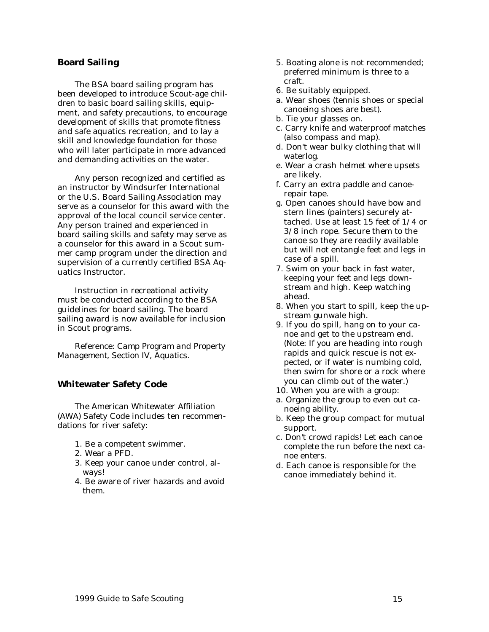#### <span id="page-14-0"></span>**Board Sailing**

The BSA board sailing program has been developed to introduce Scout-age children to basic board sailing skills, equipment, and safety precautions, to encourage development of skills that promote fitness and safe aquatics recreation, and to lay a skill and knowledge foundation for those who will later participate in more advanced and demanding activities on the water.

Any person recognized and certified as an instructor by Windsurfer International or the U.S. Board Sailing Association may serve as a counselor for this award with the approval of the local council service center. Any person trained and experienced in board sailing skills and safety may serve as a counselor for this award in a Scout summer camp program under the direction and supervision of a currently certified BSA Aquatics Instructor.

Instruction in recreational activity must be conducted according to the BSA guidelines for board sailing. The board sailing award is now available for inclusion in Scout programs.

*Reference: Camp Program and Property Management, Section IV, Aquatics.*

#### **Whitewater Safety Code**

The American Whitewater Affiliation (AWA) Safety Code includes ten recommendations for river safety:

- 1. Be a competent swimmer.
- 2. Wear a PFD.
- 3. Keep your canoe under control, always!
- 4. Be aware of river hazards and avoid them.
- 5. Boating alone is not recommended; preferred minimum is three to a craft.
- 6. Be suitably equipped.
- a. Wear shoes (tennis shoes or special canoeing shoes are best).
- b. Tie your glasses on.
- c. Carry knife and waterproof matches (also compass and map).
- d. Don't wear bulky clothing that will waterlog.
- e. Wear a crash helmet where upsets are likely.
- f. Carry an extra paddle and canoerepair tape.
- g. Open canoes should have bow and stern lines (painters) securely attached. Use at least 15 feet of 1/4 or 3/8 inch rope. Secure them to the canoe so they are readily available but will not entangle feet and legs in case of a spill.
- 7. Swim on your back in fast water, keeping your feet and legs downstream and high. Keep watching ahead.
- 8. When you start to spill, keep the upstream gunwale high.
- 9. If you do spill, hang on to your canoe and get to the upstream end. (Note: If you are heading into rough rapids and quick rescue is not expected, or if water is numbing cold, then swim for shore or a rock where you can climb out of the water.)
- 10. When you are with a group:
- a. Organize the group to even out canoeing ability.
- b. Keep the group compact for mutual support.
- c. Don't crowd rapids! Let each canoe complete the run before the next canoe enters.
- d. Each canoe is responsible for the canoe immediately behind it.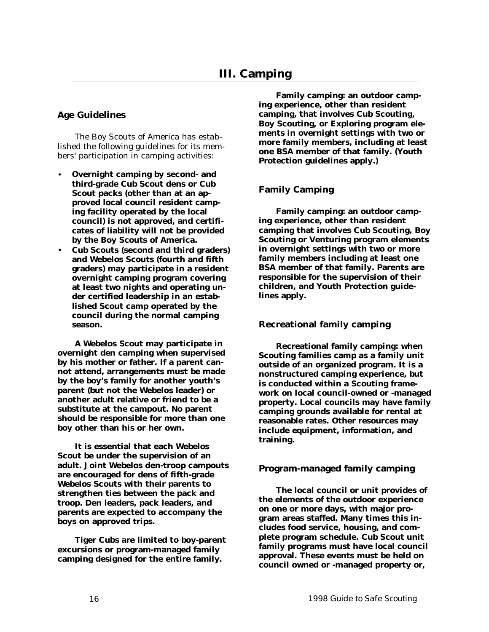## <span id="page-15-0"></span>**Age Guidelines**

The Boy Scouts of America has established the following guidelines for its members' participation in camping activities:

- **Overnight camping by second- and third-grade Cub Scout dens or Cub Scout packs (other than at an approved local council resident camping facility operated by the local council) is not approved, and certificates of liability will not be provided by the Boy Scouts of America.**
- **Cub Scouts (second and third graders) and Webelos Scouts (fourth and fifth graders) may participate in a resident overnight camping program covering at least two nights and operating under certified leadership in an established Scout camp operated by the council during the normal camping season.**

**A Webelos Scout may participate in overnight den camping when supervised by his mother or father. If a parent cannot attend, arrangements must be made by the boy's family for another youth's parent (but not the Webelos leader) or another adult relative or friend to be a substitute at the campout. No parent should be responsible for more than one boy other than his or her own.**

**It is essential that each Webelos Scout be under the supervision of an adult. Joint Webelos den-troop campouts are encouraged for dens of fifth-grade Webelos Scouts with their parents to strengthen ties between the pack and troop. Den leaders, pack leaders, and parents are expected to accompany the boys on approved trips.**

**Tiger Cubs are limited to boy-parent excursions or program-managed family camping designed for the entire family.**

**Family camping: an outdoor camping experience, other than resident camping, that involves Cub Scouting, Boy Scouting, or Exploring program elements in overnight settings with two or more family members, including at least one BSA member of that family. (Youth Protection guidelines apply.)**

## **Family Camping**

**Family camping: an outdoor camping experience, other than resident camping that involves Cub Scouting, Boy Scouting or Venturing program elements in overnight settings with two or more family members including at least one BSA member of that family. Parents are responsible for the supervision of their children, and Youth Protection guidelines apply.**

#### **Recreational family camping**

**Recreational family camping: when Scouting families camp as a family unit outside of an organized program. It is a nonstructured camping experience, but is conducted within a Scouting framework on local council-owned or -managed property. Local councils may have family camping grounds available for rental at reasonable rates. Other resources may include equipment, information, and training.**

#### **Program-managed family camping**

**The local council or unit provides of the elements of the outdoor experience on one or more days, with major program areas staffed. Many times this includes food service, housing, and complete program schedule. Cub Scout unit family programs must have local council approval. These events must be held on council owned or -managed property or,**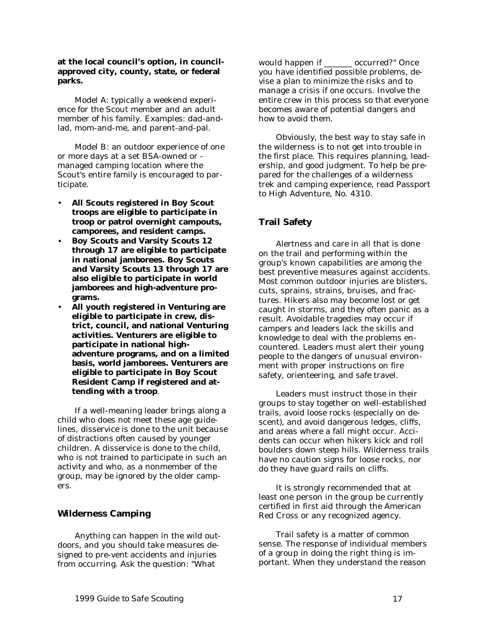#### <span id="page-16-0"></span>**at the local council's option, in councilapproved city, county, state, or federal parks.**

Model A: typically a weekend experience for the Scout member and an adult member of his family. Examples: dad-andlad, mom-and-me, and parent-and-pal.

Model B: an outdoor experience of one or more days at a set BSA-owned or managed camping location where the Scout's entire family is encouraged to participate.

- **All Scouts registered in Boy Scout troops are eligible to participate in troop or patrol overnight campouts, camporees, and resident camps.**
- **Boy Scouts and Varsity Scouts 12 through 17 are eligible to participate in national jamborees. Boy Scouts and Varsity Scouts 13 through 17 are also eligible to participate in world jamborees and high-adventure programs.**
- **All youth registered in Venturing are eligible to participate in crew, district, council, and national Venturing activities. Venturers are eligible to participate in national highadventure programs, and on a limited basis, world jamborees. Venturers are eligible to participate in Boy Scout Resident Camp if registered and attending with a troop**.

If a well-meaning leader brings along a child who does not meet these age guidelines, disservice is done to the unit because of distractions often caused by younger children. A disservice is done to the child, who is not trained to participate in such an activity and who, as a nonmember of the group, may be ignored by the older campers.

# **Wilderness Camping**

Anything can happen in the wild outdoors, and you should take measures designed to pre-vent accidents and injuries from occurring. Ask the question: "What

would happen if \_\_\_\_\_\_\_ occurred?" Once you have identified possible problems, devise a plan to minimize the risks and to manage a crisis if one occurs. Involve the entire crew in this process so that everyone becomes aware of potential dangers and how to avoid them.

Obviously, the best way to stay safe in the wilderness is to not get into trouble in the first place. This requires planning, leadership, and good judgment. To help be prepared for the challenges of a wilderness trek and camping experience, read Passport to High Adventure, No. 4310.

# **Trail Safety**

Alertness and care in all that is done on the trail and performing within the group's known capabilities are among the best preventive measures against accidents. Most common outdoor injuries are blisters, cuts, sprains, strains, bruises, and fractures. Hikers also may become lost or get caught in storms, and they often panic as a result. Avoidable tragedies may occur if campers and leaders lack the skills and knowledge to deal with the problems encountered. Leaders must alert their young people to the dangers of unusual environment with proper instructions on fire safety, orienteering, and safe travel.

Leaders must instruct those in their groups to stay together on well-established trails, avoid loose rocks (especially on descent), and avoid dangerous ledges, cliffs, and areas where a fall might occur. Accidents can occur when hikers kick and roll boulders down steep hills. Wilderness trails have no caution signs for loose rocks, nor do they have guard rails on cliffs.

It is strongly recommended that at least one person in the group be currently certified in first aid through the American Red Cross or any recognized agency.

Trail safety is a matter of common sense. The response of individual members of a group in doing the right thing is important. When they understand the reason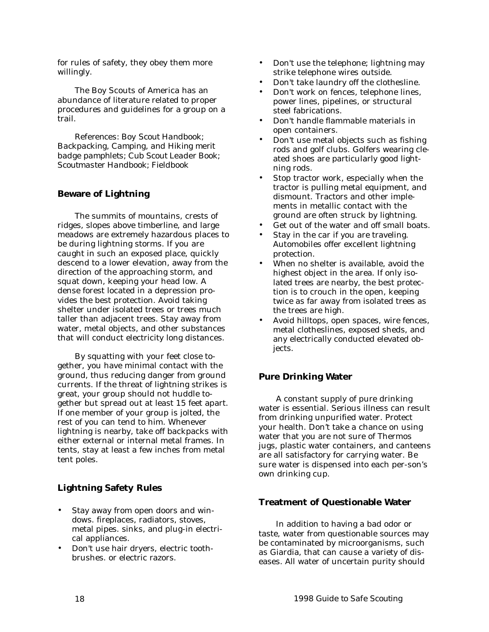<span id="page-17-0"></span>for rules of safety, they obey them more willingly.

The Boy Scouts of America has an abundance of literature related to proper procedures and guidelines for a group on a trail.

*References: Boy Scout Handbook; Backpacking, Camping, and Hiking merit badge pamphlets; Cub Scout Leader Book; Scoutmaster Handbook; Fieldbook*

## **Beware of Lightning**

The summits of mountains, crests of ridges, slopes above timberline, and large meadows are extremely hazardous places to be during lightning storms. If you are caught in such an exposed place, quickly descend to a lower elevation, away from the direction of the approaching storm, and squat down, keeping your head low. A dense forest located in a depression provides the best protection. Avoid taking shelter under isolated trees or trees much taller than adjacent trees. Stay away from water, metal objects, and other substances that will conduct electricity long distances.

By squatting with your feet close together, you have minimal contact with the ground, thus reducing danger from ground currents. If the threat of lightning strikes is great, your group should not huddle together but spread out at least 15 feet apart. If one member of your group is jolted, the rest of you can tend to him. Whenever lightning is nearby, take off backpacks with either external or internal metal frames. In tents, stay at least a few inches from metal tent poles.

## **Lightning Safety Rules**

- Stay away from open doors and windows. fireplaces, radiators, stoves, metal pipes. sinks, and plug-in electrical appliances.
- Don't use hair dryers, electric toothbrushes. or electric razors.
- Don't use the telephone; lightning may strike telephone wires outside.
- Don't take laundry off the clothesline.
- Don't work on fences, telephone lines, power lines, pipelines, or structural steel fabrications.
- Don't handle flammable materials in open containers.
- Don't use metal objects such as fishing rods and golf clubs. Golfers wearing cleated shoes are particularly good lightning rods.
- Stop tractor work, especially when the tractor is pulling metal equipment, and dismount. Tractors and other implements in metallic contact with the ground are often struck by lightning.
- Get out of the water and off small boats.
- Stay in the car if you are traveling. Automobiles offer excellent lightning protection.
- When no shelter is available, avoid the highest object in the area. If only isolated trees are nearby, the best protection is to crouch in the open, keeping twice as far away from isolated trees as the trees are high.
- Avoid hilltops, open spaces, wire fences, metal clotheslines, exposed sheds, and any electrically conducted elevated objects.

# **Pure Drinking Water**

A constant supply of pure drinking water is essential. Serious illness can result from drinking unpurified water. Protect your health. Don't take a chance on using water that you are not sure of Thermos jugs, plastic water containers, and canteens are all satisfactory for carrying water. Be sure water is dispensed into each per-son's own drinking cup.

## **Treatment of Questionable Water**

In addition to having a bad odor or taste, water from questionable sources may be contaminated by microorganisms, such as Giardia, that can cause a variety of diseases. All water of uncertain purity should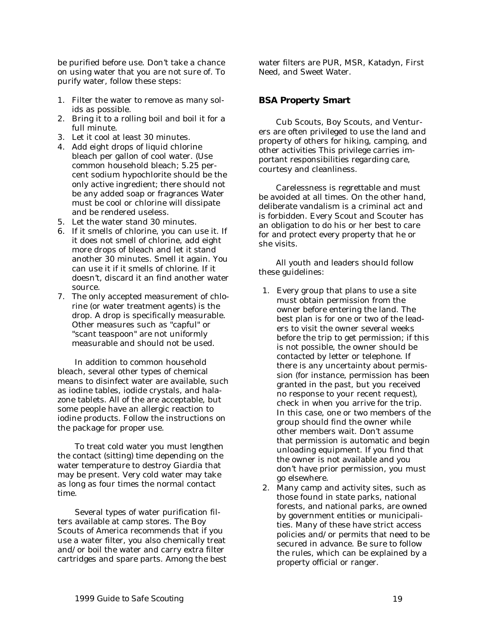<span id="page-18-0"></span>be purified before use. Don't take a chance on using water that you are not sure of. To purify water, follow these steps:

- 1. Filter the water to remove as many solids as possible.
- 2. Bring it to a rolling boil and boil it for a full minute.
- 3. Let it cool at least 30 minutes.
- 4. Add eight drops of liquid chlorine bleach per gallon of cool water. (Use common household bleach; 5.25 percent sodium hypochlorite should be the only active ingredient; there should not be any added soap or fragrances Water must be cool or chlorine will dissipate and be rendered useless.
- 5. Let the water stand 30 minutes.
- 6. If it smells of chlorine, you can use it. If it does not smell of chlorine, add eight more drops of bleach and let it stand another 30 minutes. Smell it again. You can use it if it smells of chlorine. If it doesn't, discard it an find another water source.
- 7. The only accepted measurement of chlorine (or water treatment agents) is the drop. A drop is specifically measurable. Other measures such as "capful" or "scant teaspoon" are not uniformly measurable and should not be used.

In addition to common household bleach, several other types of chemical means to disinfect water are available, such as iodine tables, iodide crystals, and halazone tablets. All of the are acceptable, but some people have an allergic reaction to iodine products. Follow the instructions on the package for proper use.

To treat cold water you must lengthen the contact (sitting) time depending on the water temperature to destroy Giardia that may be present. Very cold water may take as long as four times the normal contact time.

Several types of water purification filters available at camp stores. The Boy Scouts of America recommends that if you use a water filter, you also chemically treat and/or boil the water and carry extra filter cartridges and spare parts. Among the best water filters are PUR, MSR, Katadyn, First Need, and Sweet Water.

## **BSA Property Smart**

Cub Scouts, Boy Scouts, and Venturers are often privileged to use the land and property of others for hiking, camping, and other activities This privilege carries important responsibilities regarding care, courtesy and cleanliness.

Carelessness is regrettable and must be avoided at all times. On the other hand, deliberate vandalism is a criminal act and is forbidden. Every Scout and Scouter has an obligation to do his or her best to care for and protect every property that he or she visits.

All youth and leaders should follow these guidelines:

- 1. Every group that plans to use a site must obtain permission from the owner before entering the land. The best plan is for one or two of the leaders to visit the owner several weeks before the trip to get permission; if this is not possible, the owner should be contacted by letter or telephone. If there is any uncertainty about permission (for instance, permission has been granted in the past, but you received no response to your recent request), check in when you arrive for the trip. In this case, one or two members of the group should find the owner while other members wait. Don't assume that permission is automatic and begin unloading equipment. If you find that the owner is not available and you don't have prior permission, you must go elsewhere.
- 2. Many camp and activity sites, such as those found in state parks, national forests, and national parks, are owned by government entities or municipalities. Many of these have strict access policies and/or permits that need to be secured in advance. Be sure to follow the rules, which can be explained by a property official or ranger.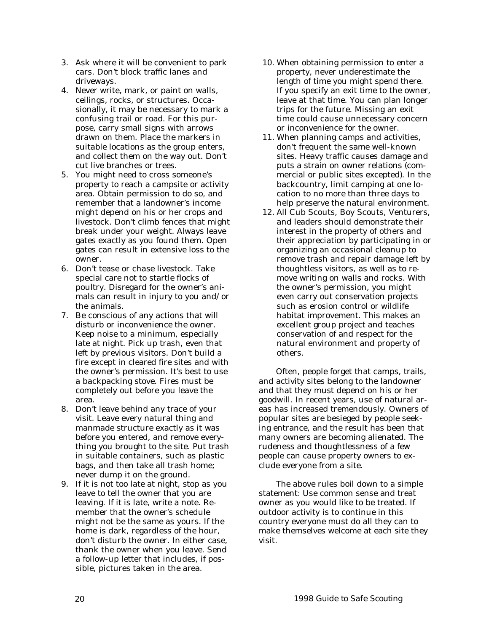- 3. Ask where it will be convenient to park cars. Don't block traffic lanes and driveways.
- 4. Never write, mark, or paint on walls, ceilings, rocks, or structures. Occasionally, it may be necessary to mark a confusing trail or road. For this purpose, carry small signs with arrows drawn on them. Place the markers in suitable locations as the group enters, and collect them on the way out. Don't cut live branches or trees.
- 5. You might need to cross someone's property to reach a campsite or activity area. Obtain permission to do so, and remember that a landowner's income might depend on his or her crops and livestock. Don't climb fences that might break under your weight. Always leave gates exactly as you found them. Open gates can result in extensive loss to the owner.
- 6. Don't tease or chase livestock. Take special care not to startle flocks of poultry. Disregard for the owner's animals can result in injury to you and/or the animals.
- 7. Be conscious of any actions that will disturb or inconvenience the owner. Keep noise to a minimum, especially late at night. Pick up trash, even that left by previous visitors. Don't build a fire except in cleared fire sites and with the owner's permission. It's best to use a backpacking stove. Fires must be completely out before you leave the area.
- 8. Don't leave behind any trace of your visit. Leave every natural thing and manmade structure exactly as it was before you entered, and remove everything you brought to the site. Put trash in suitable containers, such as plastic bags, and then take all trash home; never dump it on the ground.
- 9. If it is not too late at night, stop as you leave to tell the owner that you are leaving. If it is late, write a note. Remember that the owner's schedule might not be the same as yours. If the home is dark, regardless of the hour, don't disturb the owner. In either case, thank the owner when you leave. Send a follow-up letter that includes, if possible, pictures taken in the area.
- 10. When obtaining permission to enter a property, never underestimate the length of time you might spend there. If you specify an exit time to the owner, leave at that time. You can plan longer trips for the future. Missing an exit time could cause unnecessary concern or inconvenience for the owner.
- 11. When planning camps and activities, don't frequent the same well-known sites. Heavy traffic causes damage and puts a strain on owner relations (commercial or public sites excepted). In the backcountry, limit camping at one location to no more than three days to help preserve the natural environment.
- 12. All Cub Scouts, Boy Scouts, Venturers, and leaders should demonstrate their interest in the property of others and their appreciation by participating in or organizing an occasional cleanup to remove trash and repair damage left by thoughtless visitors, as well as to remove writing on walls and rocks. With the owner's permission, you might even carry out conservation projects such as erosion control or wildlife habitat improvement. This makes an excellent group project and teaches conservation of and respect for the natural environment and property of others.

Often, people forget that camps, trails, and activity sites belong to the landowner and that they must depend on his or her goodwill. In recent years, use of natural areas has increased tremendously. Owners of popular sites are besieged by people seeking entrance, and the result has been that many owners are becoming alienated. The rudeness and thoughtlessness of a few people can cause property owners to exclude everyone from a site.

The above rules boil down to a simple statement: Use common sense and treat owner as you would like to be treated. If outdoor activity is to continue in this country everyone must do all they can to make themselves welcome at each site they visit.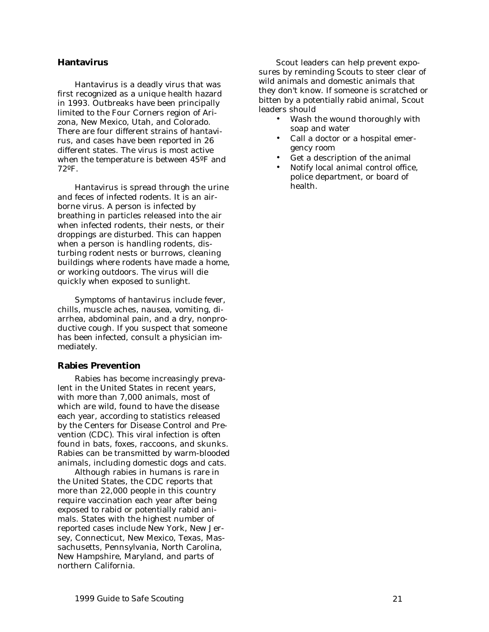#### <span id="page-20-0"></span>**Hantavirus**

Hantavirus is a deadly virus that was first recognized as a unique health hazard in 1993. Outbreaks have been principally limited to the Four Corners region of Arizona, New Mexico, Utah, and Colorado. There are four different strains of hantavirus, and cases have been reported in 26 different states. The virus is most active when the temperature is between 45ºF and 72ºF.

Hantavirus is spread through the urine and feces of infected rodents. It is an airborne virus. A person is infected by breathing in particles released into the air when infected rodents, their nests, or their droppings are disturbed. This can happen when a person is handling rodents, disturbing rodent nests or burrows, cleaning buildings where rodents have made a home, or working outdoors. The virus will die quickly when exposed to sunlight.

Symptoms of hantavirus include fever, chills, muscle aches, nausea, vomiting, diarrhea, abdominal pain, and a dry, nonproductive cough. If you suspect that someone has been infected, consult a physician immediately.

#### **Rabies Prevention**

Rabies has become increasingly prevalent in the United States in recent years, with more than 7,000 animals, most of which are wild, found to have the disease each year, according to statistics released by the Centers for Disease Control and Prevention (CDC). This viral infection is often found in bats, foxes, raccoons, and skunks. Rabies can be transmitted by warm-blooded animals, including domestic dogs and cats.

Although rabies in humans is rare in the United States, the CDC reports that more than 22,000 people in this country require vaccination each year after being exposed to rabid or potentially rabid animals. States with the highest number of reported cases include New York, New Jersey, Connecticut, New Mexico, Texas, Massachusetts, Pennsylvania, North Carolina, New Hampshire, Maryland, and parts of northern California.

Scout leaders can help prevent exposures by reminding Scouts to steer clear of wild animals and domestic animals that they don't know. If someone is scratched or bitten by a potentially rabid animal, Scout leaders should

- Wash the wound thoroughly with soap and water
- Call a doctor or a hospital emergency room
- Get a description of the animal
- Notify local animal control office, police department, or board of health.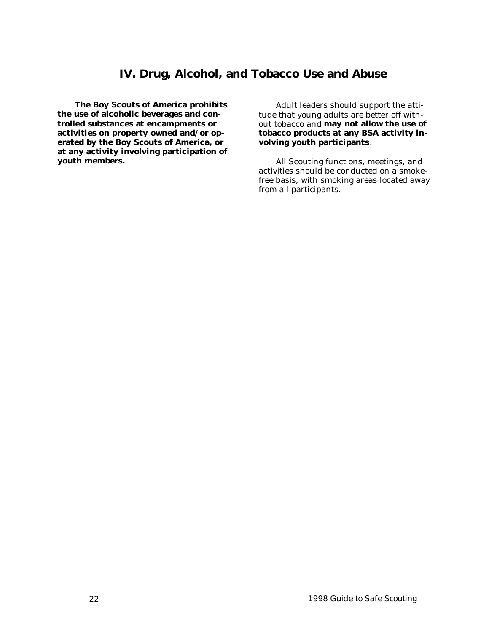<span id="page-21-0"></span>**The Boy Scouts of America prohibits the use of alcoholic beverages and controlled substances at encampments or activities on property owned and/or operated by the Boy Scouts of America, or at any activity involving participation of youth members.**

Adult leaders should support the attitude that young adults are better off without tobacco and **may not allow the use of tobacco products at any BSA activity involving youth participants**.

All Scouting functions, meetings, and activities should be conducted on a smokefree basis, with smoking areas located away from all participants.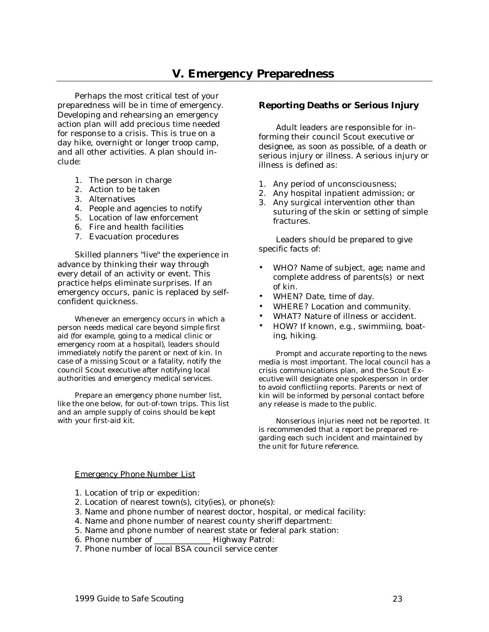# **V. Emergency Preparedness**

<span id="page-22-0"></span>Perhaps the most critical test of your preparedness will be in time of emergency. Developing and rehearsing an emergency action plan will add precious time needed for response to a crisis. This is true on a day hike, overnight or longer troop camp, and all other activities. A plan should include:

- 1. The person in charge
- 2. Action to be taken
- 3. Alternatives
- 4. People and agencies to notify
- 5. Location of law enforcement
- 6. Fire and health facilities
- 7. Evacuation procedures

Skilled planners "live" the experience in advance by thinking their way through every detail of an activity or event. This practice helps eliminate surprises. If an emergency occurs, panic is replaced by selfconfident quickness.

Whenever an emergency occurs in which a person needs medical care beyond simple first aid (for example, going to a medical clinic or emergency room at a hospital), leaders should immediately notify the parent or next of kin. In case of a missing Scout or a fatality, notify the council Scout executive after notifying local authorities and emergency medical services.

Prepare an emergency phone number list, like the one below, for out-of-town trips. This list and an ample supply of coins should be kept with your first-aid kit.

## **Reporting Deaths or Serious Injury**

Adult leaders are responsible for informing their council Scout executive or designee, as soon as possible, of a death or serious injury or illness. A serious injury or illness is defined as:

- 1. Any period of unconsciousness;
- 2. Any hospital inpatient admission; or
- 3. Any surgical intervention other than suturing of the skin or setting of simple fractures.

Leaders should be prepared to give specific facts of:

- WHO? Name of subject, age; name and complete address of parents(s) or next of kin.
- WHEN? Date, time of day.
- WHERE? Location and community.
- WHAT? Nature of illness or accident.
- HOW? If known, e.g., swimmiing, boating, hiking.

Prompt and accurate reporting to the news media is most important. The local council has a crisis communications plan, and the Scout Executive will designate one spokesperson in order to avoid conflictiing reports. Parents or next of kin will be informed by personal contact before any release is made to the public.

Nonserious injuries need not be reported. It is recommended that a report be prepared regarding each such incident and maintained by the unit for future reference.

#### Emergency Phone Number List

- 1. Location of trip or expedition:
- 2. Location of nearest town(s), city(ies), or phone(s):
- 3. Name and phone number of nearest doctor, hospital, or medical facility:
- 4. Name and phone number of nearest county sheriff department:
- 5. Name and phone number of nearest state or federal park station:
- 6. Phone number of \_\_\_\_\_\_\_\_\_\_\_\_\_\_ Highway Patrol:
- 7. Phone number of local BSA council service center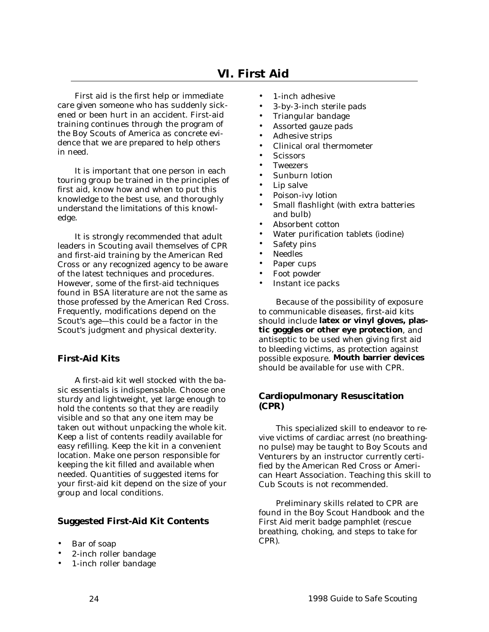<span id="page-23-0"></span>First aid is the first help or immediate care given someone who has suddenly sickened or been hurt in an accident. First-aid training continues through the program of the Boy Scouts of America as concrete evidence that we are prepared to help others in need.

It is important that one person in each touring group be trained in the principles of first aid, know how and when to put this knowledge to the best use, and thoroughly understand the limitations of this knowledge.

It is strongly recommended that adult leaders in Scouting avail themselves of CPR and first-aid training by the American Red Cross or any recognized agency to be aware of the latest techniques and procedures. However, some of the first-aid techniques found in BSA literature are not the same as those professed by the American Red Cross. Frequently, modifications depend on the Scout's age—this could be a factor in the Scout's judgment and physical dexterity.

# **First-Aid Kits**

A first-aid kit well stocked with the basic essentials is indispensable. Choose one sturdy and lightweight, yet large enough to hold the contents so that they are readily visible and so that any one item may be taken out without unpacking the whole kit. Keep a list of contents readily available for easy refilling. Keep the kit in a convenient location. Make one person responsible for keeping the kit filled and available when needed. Quantities of suggested items for your first-aid kit depend on the size of your group and local conditions.

## **Suggested First-Aid Kit Contents**

- Bar of soap
- 2-inch roller bandage
- 1-inch roller bandage
- 1-inch adhesive
- 3-by-3-inch sterile pads
- Triangular bandage
- Assorted gauze pads
- Adhesive strips
- Clinical oral thermometer
- Scissors
- **Tweezers**
- Sunburn lotion
- Lip salve
- Poison-ivy lotion
- Small flashlight (with extra batteries and bulb)
- Absorbent cotton
- Water purification tablets (iodine)
- Safety pins
- Needles
- Paper cups
- Foot powder
- Instant ice packs

Because of the possibility of exposure to communicable diseases, first-aid kits should include **latex or vinyl gloves, plastic goggles or other eye protection**, and antiseptic to be used when giving first aid to bleeding victims, as protection against possible exposure. **Mouth barrier devices** should be available for use with CPR.

## **Cardiopulmonary Resuscitation (CPR)**

This specialized skill to endeavor to revive victims of cardiac arrest (no breathingno pulse) may be taught to Boy Scouts and Venturers by an instructor currently certified by the American Red Cross or American Heart Association. Teaching this skill to Cub Scouts is not recommended.

Preliminary skills related to CPR are found in the Boy Scout Handbook and the First Aid merit badge pamphlet (rescue breathing, choking, and steps to take for CPR).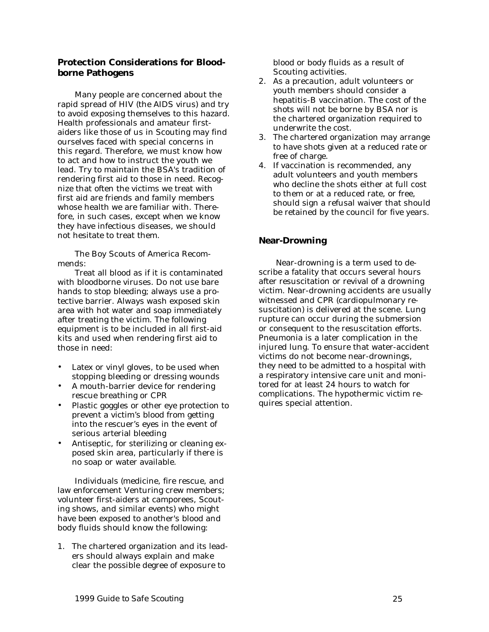## <span id="page-24-0"></span>**Protection Considerations for Bloodborne Pathogens**

Many people are concerned about the rapid spread of HIV (the AIDS virus) and try to avoid exposing themselves to this hazard. Health professionals and amateur firstaiders like those of us in Scouting may find ourselves faced with special concerns in this regard. Therefore, we must know how to act and how to instruct the youth we lead. Try to maintain the BSA's tradition of rendering first aid to those in need. Recognize that often the victims we treat with first aid are friends and family members whose health we are familiar with. Therefore, in such cases, except when we know they have infectious diseases, we should not hesitate to treat them.

The Boy Scouts of America Recommends:

Treat all blood as if it is contaminated with bloodborne viruses. Do not use bare hands to stop bleeding; always use a protective barrier. Always wash exposed skin area with hot water and soap immediately after treating the victim. The following equipment is to be included in all first-aid kits and used when rendering first aid to those in need:

- Latex or vinyl gloves, to be used when stopping bleeding or dressing wounds
- A mouth-barrier device for rendering rescue breathing or CPR
- Plastic goggles or other eye protection to prevent a victim's blood from getting into the rescuer's eyes in the event of serious arterial bleeding
- Antiseptic, for sterilizing or cleaning exposed skin area, particularly if there is no soap or water available.

Individuals (medicine, fire rescue, and law enforcement Venturing crew members; volunteer first-aiders at camporees, Scouting shows, and similar events) who might have been exposed to another's blood and body fluids should know the following:

1. The chartered organization and its leaders should always explain and make clear the possible degree of exposure to

blood or body fluids as a result of Scouting activities.

- 2. As a precaution, adult volunteers or youth members should consider a hepatitis-B vaccination. The cost of the shots will not be borne by BSA nor is the chartered organization required to underwrite the cost.
- 3. The chartered organization may arrange to have shots given at a reduced rate or free of charge.
- 4. If vaccination is recommended, any adult volunteers and youth members who decline the shots either at full cost to them or at a reduced rate, or free, should sign a refusal waiver that should be retained by the council for five years.

## **Near-Drowning**

Near-drowning is a term used to describe a fatality that occurs several hours after resuscitation or revival of a drowning victim. Near-drowning accidents are usually witnessed and CPR (cardiopulmonary resuscitation) is delivered at the scene. Lung rupture can occur during the submersion or consequent to the resuscitation efforts. Pneumonia is a later complication in the injured lung. To ensure that water-accident victims do not become near-drownings, they need to be admitted to a hospital with a respiratory intensive care unit and monitored for at least 24 hours to watch for complications. The hypothermic victim requires special attention.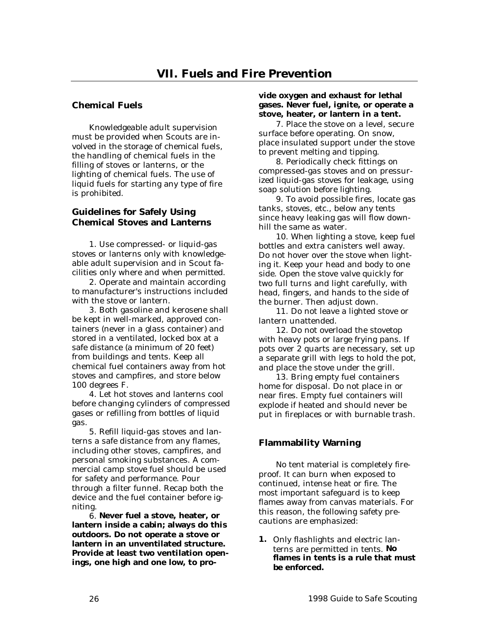# <span id="page-25-0"></span>**Chemical Fuels**

Knowledgeable adult supervision must be provided when Scouts are involved in the storage of chemical fuels, the handling of chemical fuels in the filling of stoves or lanterns, or the lighting of chemical fuels. The use of liquid fuels for starting any type of fire is prohibited.

## **Guidelines for Safely Using Chemical Stoves and Lanterns**

1. Use compressed- or liquid-gas stoves or lanterns only with knowledgeable adult supervision and in Scout facilities only where and when permitted.

2. Operate and maintain according to manufacturer's instructions included with the stove or lantern.

3. Both gasoline and kerosene shall be kept in well-marked, approved containers (never in a glass container) and stored in a ventilated, locked box at a safe distance (a minimum of 20 feet) from buildings and tents. Keep all chemical fuel containers away from hot stoves and campfires, and store below 100 degrees F.

4. Let hot stoves and lanterns cool before changing cylinders of compressed gases or refilling from bottles of liquid gas.

5. Refill liquid-gas stoves and lanterns a safe distance from any flames, including other stoves, campfires, and personal smoking substances. A commercial camp stove fuel should be used for safety and performance. Pour through a filter funnel. Recap both the device and the fuel container before igniting.

6. **Never fuel a stove, heater, or lantern inside a cabin; always do this outdoors. Do not operate a stove or lantern in an unventilated structure. Provide at least two ventilation openings, one high and one low, to pro-**

#### **vide oxygen and exhaust for lethal gases. Never fuel, ignite, or operate a stove, heater, or lantern in a tent.**

7. Place the stove on a level, secure surface before operating. On snow, place insulated support under the stove to prevent melting and tipping.

8. Periodically check fittings on compressed-gas stoves and on pressurized liquid-gas stoves for leakage, using soap solution before lighting.

9. To avoid possible fires, locate gas tanks, stoves, etc., below any tents since heavy leaking gas will flow downhill the same as water.

10. When lighting a stove, keep fuel bottles and extra canisters well away. Do not hover over the stove when lighting it. Keep your head and body to one side. Open the stove valve quickly for two full turns and light carefully, with head, fingers, and hands to the side of the burner. Then adjust down.

11. Do not leave a lighted stove or lantern unattended.

12. Do not overload the stovetop with heavy pots or large frying pans. If pots over 2 quarts are necessary, set up a separate grill with legs to hold the pot, and place the stove under the grill.

13. Bring empty fuel containers home for disposal. Do not place in or near fires. Empty fuel containers will explode if heated and should never be put in fireplaces or with burnable trash.

# **Flammability Warning**

No tent material is completely fireproof. It can burn when exposed to continued, intense heat or fire. The most important safeguard is to keep flames away from canvas materials. For this reason, the following safety precautions are emphasized:

**1.** Only flashlights and electric lanterns are permitted in tents. **No flames in tents is a rule that must be enforced.**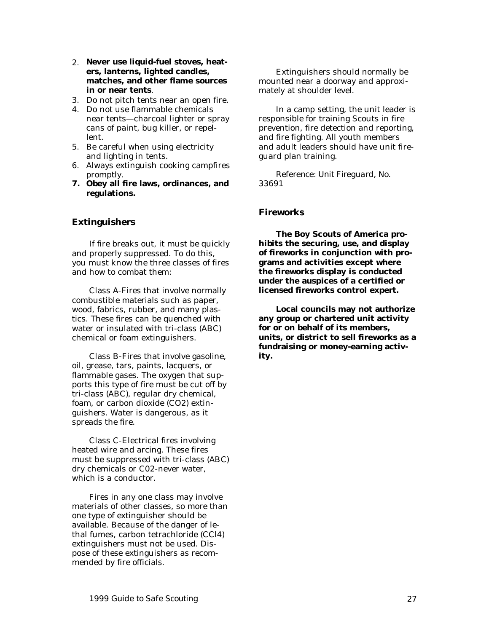- <span id="page-26-0"></span>2. **Never use liquid-fuel stoves, heaters, lanterns, lighted candles, matches, and other flame sources in or near tents**.
- 3. Do not pitch tents near an open fire.
- 4. Do not use flammable chemicals near tents—charcoal lighter or spray cans of paint, bug killer, or repellent.
- 5. Be careful when using electricity and lighting in tents.
- 6. Always extinguish cooking campfires promptly.
- **7. Obey all fire laws, ordinances, and regulations.**

#### **Extinguishers**

If fire breaks out, it must be quickly and properly suppressed. To do this, you must know the three classes of fires and how to combat them:

Class A-Fires that involve normally combustible materials such as paper, wood, fabrics, rubber, and many plastics. These fires can be quenched with water or insulated with tri-class (ABC) chemical or foam extinguishers.

Class B-Fires that involve gasoline, oil, grease, tars, paints, lacquers, or flammable gases. The oxygen that supports this type of fire must be cut off by tri-class (ABC), regular dry chemical, foam, or carbon dioxide (CO2) extinguishers. Water is dangerous, as it spreads the fire.

Class C-Electrical fires involving heated wire and arcing. These fires must be suppressed with tri-class (ABC) dry chemicals or C02-never water, which is a conductor.

Fires in any one class may involve materials of other classes, so more than one type of extinguisher should be available. Because of the danger of lethal fumes, carbon tetrachloride (CCl4) extinguishers must not be used. Dispose of these extinguishers as recommended by fire officials.

Extinguishers should normally be mounted near a doorway and approximately at shoulder level.

In a camp setting, the unit leader is responsible for training Scouts in fire prevention, fire detection and reporting, and fire fighting. All youth members and adult leaders should have unit fireguard plan training.

*Reference: Unit Fireguard, No. 33691*

#### **Fireworks**

**The Boy Scouts of America prohibits the securing, use, and display of fireworks in conjunction with programs and activities except where the fireworks display is conducted under the auspices of a certified or licensed fireworks control expert.**

**Local councils may not authorize any group or chartered unit activity for or on behalf of its members, units, or district to sell fireworks as a fundraising or money-earning activity.**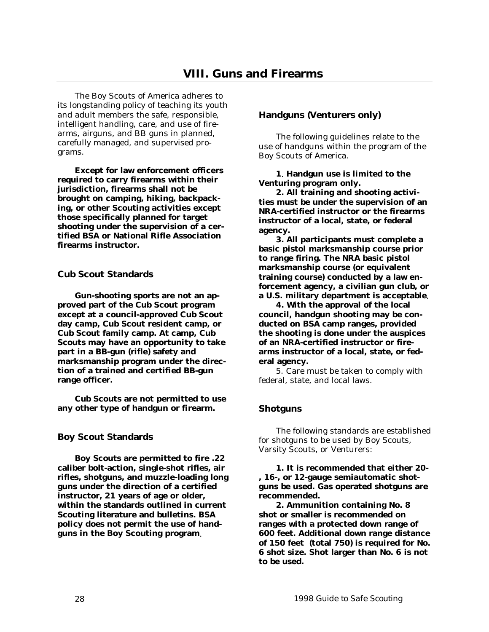<span id="page-27-0"></span>The Boy Scouts of America adheres to its longstanding policy of teaching its youth and adult members the safe, responsible, intelligent handling, care, and use of firearms, airguns, and BB guns in planned, carefully managed, and supervised programs.

**Except for law enforcement officers required to carry firearms within their jurisdiction, firearms shall not be brought on camping, hiking, backpacking, or other Scouting activities except those specifically planned for target shooting under the supervision of a certified BSA or National Rifle Association firearms instructor.**

## **Cub Scout Standards**

**Gun-shooting sports are not an approved part of the Cub Scout program except at a council-approved Cub Scout day camp, Cub Scout resident camp, or Cub Scout family camp. At camp, Cub Scouts may have an opportunity to take part in a BB-gun (rifle) safety and marksmanship program under the direction of a trained and certified BB-gun range officer.**

**Cub Scouts are not permitted to use any other type of handgun or firearm.**

# **Boy Scout Standards**

**Boy Scouts are permitted to fire .22 caliber bolt-action, single-shot rifles, air rifles, shotguns, and muzzle-loading long guns under the direction of a certified instructor, 21 years of age or older, within the standards outlined in current Scouting literature and bulletins. BSA policy does not permit the use of handguns in the Boy Scouting program**.

## **Handguns (Venturers only)**

The following guidelines relate to the use of handguns within the program of the Boy Scouts of America.

**1**. **Handgun use is limited to the Venturing program only.**

**2. All training and shooting activities must be under the supervision of an NRA-certified instructor or the firearms instructor of a local, state, or federal agency.**

**3. All participants must complete a basic pistol marksmanship course prior to range firing. The NRA basic pistol marksmanship course (or equivalent training course) conducted by a law enforcement agency, a civilian gun club, or a U.S. military department is acceptable**.

**4. With the approval of the local council, handgun shooting may be conducted on BSA camp ranges, provided the shooting is done under the auspices of an NRA-certified instructor or firearms instructor of a local, state, or federal agency.**

5. Care must be taken to comply with federal, state, and local laws.

# **Shotguns**

The following standards are established for shotguns to be used by Boy Scouts, Varsity Scouts, or Venturers:

**1. It is recommended that either 20- , 16-, or 12-gauge semiautomatic shotguns be used. Gas operated shotguns are recommended.**

**2. Ammunition containing No. 8 shot or smaller is recommended on ranges with a protected down range of 600 feet. Additional down range distance of 150 feet (total 750) is required for No. 6 shot size. Shot larger than No. 6 is not to be used.**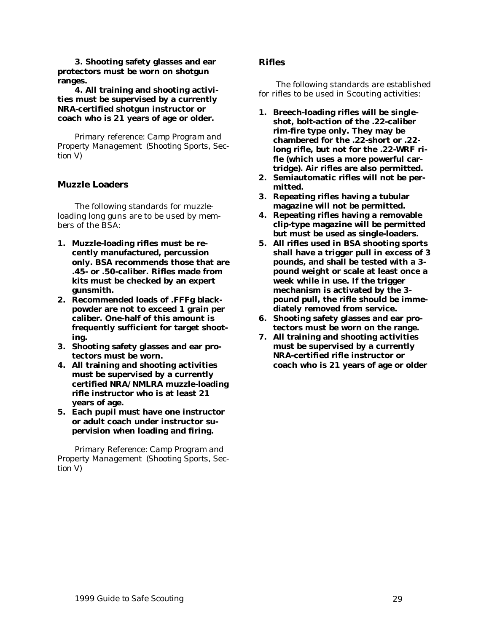<span id="page-28-0"></span>**3. Shooting safety glasses and ear protectors must be worn on shotgun ranges.**

**4. All training and shooting activities must be supervised by a currently NRA-certified shotgun instructor or coach who is 21 years of age or older.**

*Primary reference: Camp Program and Property Management (Shooting Sports, Section V)*

## **Muzzle Loaders**

The following standards for muzzleloading long guns are to be used by members of the BSA:

- **1. Muzzle-loading rifles must be recently manufactured, percussion only. BSA recommends those that are .45- or .50-caliber. Rifles made from kits must be checked by an expert gunsmith.**
- **2. Recommended loads of .FFFg blackpowder are not to exceed 1 grain per caliber. One-half of this amount is frequently sufficient for target shooting.**
- **3. Shooting safety glasses and ear protectors must be worn.**
- **4. All training and shooting activities must be supervised by a currently certified NRA/NMLRA muzzle-loading rifle instructor who is at least 21 years of age.**
- **5. Each pupil must have one instructor or adult coach under instructor supervision when loading and firing.**

*Primary Reference: Camp Program and Property Management (Shooting Sports, Section V)*

#### **Rifles**

The following standards are established for rifles to be used in Scouting activities:

- **1. Breech-loading rifles will be singleshot, bolt-action of the .22-caliber rim-fire type only. They may be chambered for the .22-short or .22 long rifle, but not for the .22-WRF rifle (which uses a more powerful cartridge). Air rifles are also permitted.**
- **2. Semiautomatic rifles will not be permitted.**
- **3. Repeating rifles having a tubular magazine will not be permitted.**
- **4. Repeating rifles having a removable clip-type magazine will be permitted but must be used as single-loaders.**
- **5. All rifles used in BSA shooting sports shall have a trigger pull in excess of 3 pounds, and shall be tested with a 3 pound weight or scale at least once a week while in use. If the trigger mechanism is activated by the 3 pound pull, the rifle should be immediately removed from service.**
- **6. Shooting safety glasses and ear protectors must be worn on the range.**
- **7. All training and shooting activities must be supervised by a currently NRA-certified rifle instructor or coach who is 21 years of age or older**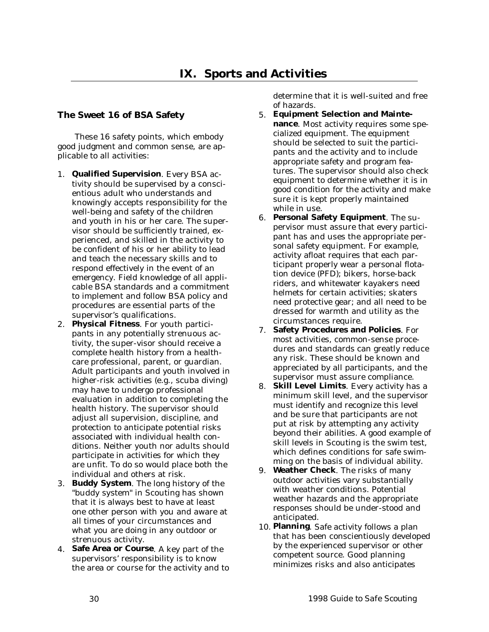## <span id="page-29-0"></span>**The Sweet 16 of BSA Safety**

These 16 safety points, which embody good judgment and common sense, are applicable to all activities:

- 1. **Qualified Supervision**. Every BSA activity should be supervised by a conscientious adult who understands and knowingly accepts responsibility for the well-being and safety of the children and youth in his or her care. The supervisor should be sufficiently trained, experienced, and skilled in the activity to be confident of his or her ability to lead and teach the necessary skills and to respond effectively in the event of an emergency. Field knowledge of all applicable BSA standards and a commitment to implement and follow BSA policy and procedures are essential parts of the supervisor's qualifications.
- 2. **Physical Fitness**. For youth participants in any potentially strenuous activity, the super-visor should receive a complete health history from a healthcare professional, parent, or guardian. Adult participants and youth involved in higher-risk activities (e.g., scuba diving) may have to undergo professional evaluation in addition to completing the health history. The supervisor should adjust all supervision, discipline, and protection to anticipate potential risks associated with individual health conditions. Neither youth nor adults should participate in activities for which they are unfit. To do so would place both the individual and others at risk.
- 3. **Buddy System**. The long history of the "buddy system" in Scouting has shown that it is always best to have at least one other person with you and aware at all times of your circumstances and what you are doing in any outdoor or strenuous activity.
- 4. **Safe Area or Course**. A key part of the supervisors' responsibility is to know the area or course for the activity and to

determine that it is well-suited and free of hazards.

- 5. **Equipment Selection and Maintenance**. Most activity requires some specialized equipment. The equipment should be selected to suit the participants and the activity and to include appropriate safety and program features. The supervisor should also check equipment to determine whether it is in good condition for the activity and make sure it is kept properly maintained while in use.
- 6. **Personal Safety Equipment**. The supervisor must assure that every participant has and uses the appropriate personal safety equipment. For example, activity afloat requires that each participant properly wear a personal flotation device (PFD); bikers, horse-back riders, and whitewater kayakers need helmets for certain activities; skaters need protective gear; and all need to be dressed for warmth and utility as the circumstances require.
- 7. **Safety Procedures and Policies**. For most activities, common-sense procedures and standards can greatly reduce any risk. These should be known and appreciated by all participants, and the supervisor must assure compliance.
- 8. **Skill Level Limits**. Every activity has a minimum skill level, and the supervisor must identify and recognize this level and be sure that participants are not put at risk by attempting any activity beyond their abilities. A good example of skill levels in Scouting is the swim test, which defines conditions for safe swimming on the basis of individual ability.
- 9. **Weather Check**. The risks of many outdoor activities vary substantially with weather conditions. Potential weather hazards and the appropriate responses should be under-stood and anticipated.
- 10. **Planning**. Safe activity follows a plan that has been conscientiously developed by the experienced supervisor or other competent source. Good planning minimizes risks and also anticipates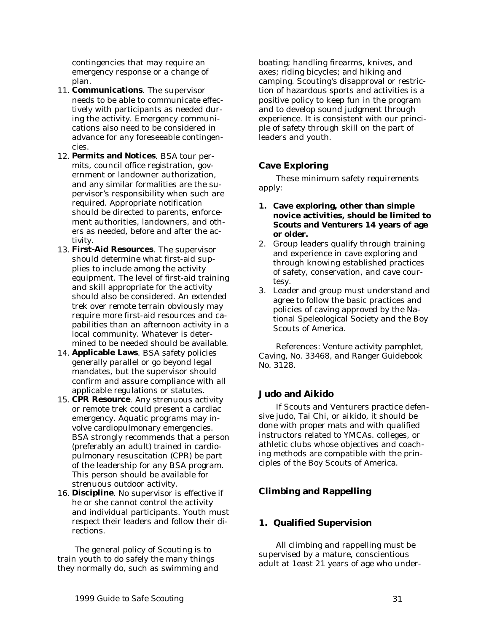<span id="page-30-0"></span>contingencies that may require an emergency response or a change of plan.

- 11. **Communications**. The supervisor needs to be able to communicate effectively with participants as needed during the activity. Emergency communications also need to be considered in advance for any foreseeable contingencies.
- 12. **Permits and Notices**. BSA tour permits, council office registration, government or landowner authorization, and any similar formalities are the supervisor's responsibility when such are required. Appropriate notification should be directed to parents, enforcement authorities, landowners, and others as needed, before and after the activity.
- 13. **First-Aid Resources**. The supervisor should determine what first-aid supplies to include among the activity equipment. The level of first-aid training and skill appropriate for the activity should also be considered. An extended trek over remote terrain obviously may require more first-aid resources and capabilities than an afternoon activity in a local community. Whatever is determined to be needed should be available.
- 14. **Applicable Laws**. BSA safety policies generally parallel or go beyond legal mandates, but the supervisor should confirm and assure compliance with all applicable regulations or statutes.
- 15. **CPR Resource**. Any strenuous activity or remote trek could present a cardiac emergency. Aquatic programs may involve cardiopulmonary emergencies. BSA strongly recommends that a person (preferably an adult) trained in cardiopulmonary resuscitation (CPR) be part of the leadership for any BSA program. This person should be available for strenuous outdoor activity.
- 16. **Discipline**. No supervisor is effective if he or she cannot control the activity and individual participants. Youth must respect their leaders and follow their directions.

The general policy of Scouting is to train youth to do safely the many things they normally do, such as swimming and boating; handling firearms, knives, and axes; riding bicycles; and hiking and camping. Scouting's disapproval or restriction of hazardous sports and activities is a positive policy to keep fun in the program and to develop sound judgment through experience. It is consistent with our principle of safety through skill on the part of leaders and youth.

# **Cave Exploring**

These minimum safety requirements apply:

- **1. Cave exploring, other than simple novice activities, should be limited to Scouts and Venturers 14 years of age or older.**
- 2. Group leaders qualify through training and experience in cave exploring and through knowing established practices of safety, conservation, and cave courtesy.
- 3. Leader and group must understand and agree to follow the basic practices and policies of caving approved by the National Speleological Society and the Boy Scouts of America.

*References: Venture activity pamphlet, Caving, No. 33468, and Ranger Guidebook No. 3128.*

## **Judo and Aikido**

If Scouts and Venturers practice defensive judo, Tai Chi, or aikido, it should be done with proper mats and with qualified instructors related to YMCAs. colleges, or athletic clubs whose objectives and coaching methods are compatible with the principles of the Boy Scouts of America.

# **Climbing and Rappelling**

## **1. Qualified Supervision**

All climbing and rappelling must be supervised by a mature, conscientious adult at 1east 21 years of age who under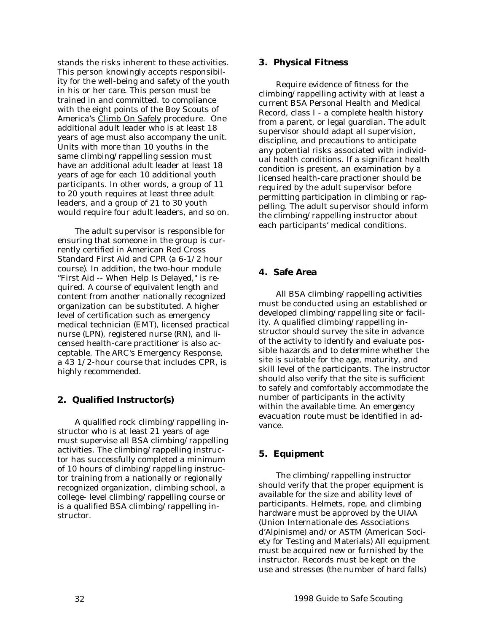<span id="page-31-0"></span>stands the risks inherent to these activities. This person knowingly accepts responsibility for the well-being and safety of the youth in his or her care. This person must be trained in and committed. to compliance with the eight points of the Boy Scouts of America's Climb On Safely procedure. One additional adult leader who is at least 18 years of age must also accompany the unit. Units with more than 10 youths in the same climbing/rappelling session must have an additional adult leader at least 18 years of age for each 10 additional youth participants. In other words, a group of 11 to 20 youth requires at least three adult leaders, and a group of 21 to 30 youth would require four adult leaders, and so on.

The adult supervisor is responsible for ensuring that someone in the group is currently certified in American Red Cross Standard First Aid and CPR (a 6-1/2 hour course). In addition, the two-hour module "First Aid -- When Help Is Delayed," is required. A course of equivalent length and content from another nationally recognized organization can be substituted. A higher level of certification such as emergency medical technician (EMT), licensed practical nurse (LPN), registered nurse (RN), and licensed health-care practitioner is also acceptable. The ARC's Emergency Response, a 43 1/2-hour course that includes CPR, is highly recommended.

## **2. Qualified Instructor(s)**

A qualified rock climbing/rappelling instructor who is at least 21 years of age must supervise all BSA climbing/rappelling activities. The climbing/rappelling instructor has successfully completed a minimum of 10 hours of climbing/rappelling instructor training from a nationally or regionally recognized organization, climbing school, a college- level climbing/rappelling course or is a qualified BSA climbing/rappelling instructor.

#### **3. Physical Fitness**

Require evidence of fitness for the climbing/rappelling activity with at least a current BSA Personal Health and Medical Record, class I - a complete health history from a parent, or legal guardian. The adult supervisor should adapt all supervision, discipline, and precautions to anticipate any potential risks associated with individual health conditions. If a significant health condition is present, an examination by a licensed health-care practioner should be required by the adult supervisor before permitting participation in climbing or rappelling. The adult supervisor should inform the climbing/rappelling instructor about each participants' medical conditions.

## **4. Safe Area**

All BSA climbing/rappelling activities must be conducted using an established or developed climbing/rappelling site or facility. A qualified climbing/rappelling instructor should survey the site in advance of the activity to identify and evaluate possible hazards and to determine whether the site is suitable for the age, maturity, and skill level of the participants. The instructor should also verify that the site is sufficient to safely and comfortably accommodate the number of participants in the activity within the available time. An emergency evacuation route must be identified in advance.

## **5. Equipment**

The climbing/rappelling instructor should verify that the proper equipment is available for the size and ability level of participants. Helmets, rope, and climbing hardware must be approved by the UIAA (Union Internationale des Associations d'Alpinisme) and/or ASTM (American Society for Testing and Materials) All equipment must be acquired new or furnished by the instructor. Records must be kept on the use and stresses (the number of hard falls)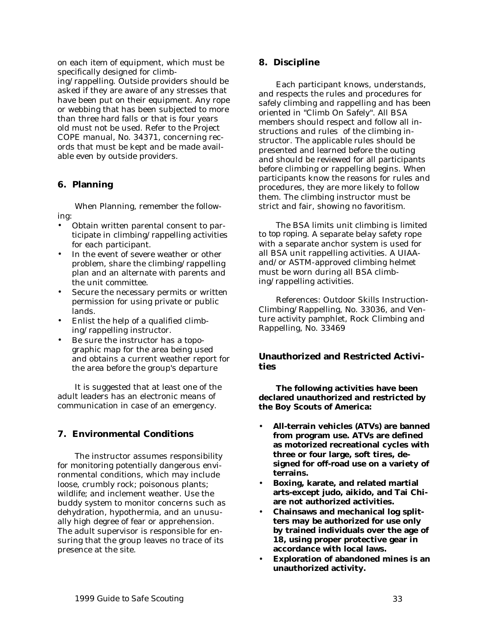<span id="page-32-0"></span>on each item of equipment, which must be specifically designed for climb-

ing/rappelling. Outside providers should be asked if they are aware of any stresses that have been put on their equipment. Any rope or webbing that has been subjected to more than three hard falls or that is four years old must not be used. Refer to the Project COPE manual, No. 34371, concerning records that must be kept and be made available even by outside providers.

# **6. Planning**

When Planning, remember the following:

- Obtain written parental consent to participate in climbing/rappelling activities for each participant.
- In the event of severe weather or other problem, share the climbing/rappelling plan and an alternate with parents and the unit committee.
- Secure the necessary permits or written permission for using private or public lands.
- Enlist the help of a qualified climbing/rappelling instructor.
- Be sure the instructor has a topographic map for the area being used and obtains a current weather report for the area before the group's departure

It is suggested that at least one of the adult leaders has an electronic means of communication in case of an emergency.

# **7. Environmental Conditions**

The instructor assumes responsibility for monitoring potentially dangerous environmental conditions, which may include loose, crumbly rock; poisonous plants; wildlife; and inclement weather. Use the buddy system to monitor concerns such as dehydration, hypothermia, and an unusually high degree of fear or apprehension. The adult supervisor is responsible for ensuring that the group leaves no trace of its presence at the site.

## **8. Discipline**

Each participant knows, understands, and respects the rules and procedures for safely climbing and rappelling and has been oriented in "Climb On Safely". All BSA members should respect and follow all instructions and rules of the climbing instructor. The applicable rules should be presented and learned before the outing and should be reviewed for all participants before climbing or rappelling begins. When participants know the reasons for rules and procedures, they are more likely to follow them. The climbing instructor must be strict and fair, showing no favoritism.

The BSA limits unit climbing is limited to *top roping*. A separate belay safety rope with a separate anchor system is used for all BSA unit rappelling activities. A UIAAand/or ASTM-approved climbing helmet must be worn during all BSA climbing/rappelling activities.

References: Outdoor Skills Instruction-Climbing/Rappelling, No. 33036, and Venture activity pamphlet, Rock Climbing and Rappelling, No. 33469

## **Unauthorized and Restricted Activities**

**The following activities have been declared unauthorized and restricted by the Boy Scouts of America:**

- **All-terrain vehicles (ATVs) are banned from program use. ATVs are defined as motorized recreational cycles with three or four large, soft tires, designed for off-road use on a variety of terrains.**
- **Boxing, karate, and related martial arts-except judo, aikido, and Tai Chiare not authorized activities.**
- **Chainsaws and mechanical log splitters may be authorized for use only by trained individuals over the age of 18, using proper protective gear in accordance with local laws.**
- **Exploration of abandoned mines is an unauthorized activity.**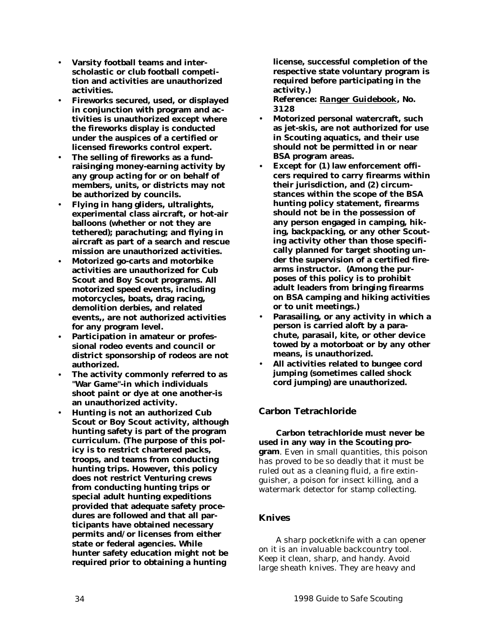- <span id="page-33-0"></span>• **Varsity football teams and interscholastic or club football competition and activities are unauthorized activities.**
- **Fireworks secured, used, or displayed in conjunction with program and activities is unauthorized except where the fireworks display is conducted under the auspices of a certified or licensed fireworks control expert.**
- **The selling of fireworks as a fundraisinging money-earning activity by any group acting for or on behalf of members, units, or districts may not be authorized by councils.**
- **Flying in hang gliders, ultralights, experimental class aircraft, or hot-air balloons (whether or not they are tethered); parachuting; and flying in aircraft as part of a search and rescue mission are unauthorized activities.**
- **Motorized go-carts and motorbike activities are unauthorized for Cub Scout and Boy Scout programs. All motorized speed events, including motorcycles, boats, drag racing, demolition derbies, and related events,, are not authorized activities for any program level.**
- **Participation in amateur or professional rodeo events and council or district sponsorship of rodeos are not authorized.**
- **The activity commonly referred to as "War Game"-in which individuals shoot paint or dye at one another-is an unauthorized activity.**
- **Hunting is not an authorized Cub Scout or Boy Scout activity, although hunting safety is part of the program curriculum. (The purpose of this policy is to restrict chartered packs, troops, and teams from conducting hunting trips. However, this policy does not restrict Venturing crews from conducting hunting trips or special adult hunting expeditions provided that adequate safety procedures are followed and that all participants have obtained necessary permits and/or licenses from either state or federal agencies. While hunter safety education might not be required prior to obtaining a hunting**

**license, successful completion of the respective state voluntary program is required before participating in the activity.)**

*Reference: Ranger Guidebook, No. 3128*

- **Motorized personal watercraft, such as jet-skis, are not authorized for use in Scouting aquatics, and their use should not be permitted in or near BSA program areas.**
- **Except for (1) law enforcement officers required to carry firearms within their jurisdiction, and (2) circumstances within the scope of the BSA hunting policy statement, firearms should not be in the possession of any person engaged in camping, hiking, backpacking, or any other Scouting activity other than those specifically planned for target shooting under the supervision of a certified firearms instructor. (Among the purposes of this policy is to prohibit adult leaders from bringing firearms on BSA camping and hiking activities or to unit meetings.)**
- **Parasailing, or any activity in which a person is carried aloft by a parachute, parasail, kite, or other device towed by a motorboat or by any other means, is unauthorized.**
- **All activities related to bungee cord jumping (sometimes called shock cord jumping) are unauthorized.**

# **Carbon Tetrachloride**

**Carbon tetrachloride must never be used in any way in the Scouting program**. Even in small quantities, this poison has proved to be so deadly that it must be ruled out as a cleaning fluid, a fire extinguisher, a poison for insect killing, and a watermark detector for stamp collecting.

## **Knives**

A sharp pocketknife with a can opener on it is an invaluable backcountry tool. Keep it clean, sharp, and handy. Avoid large sheath knives. They are heavy and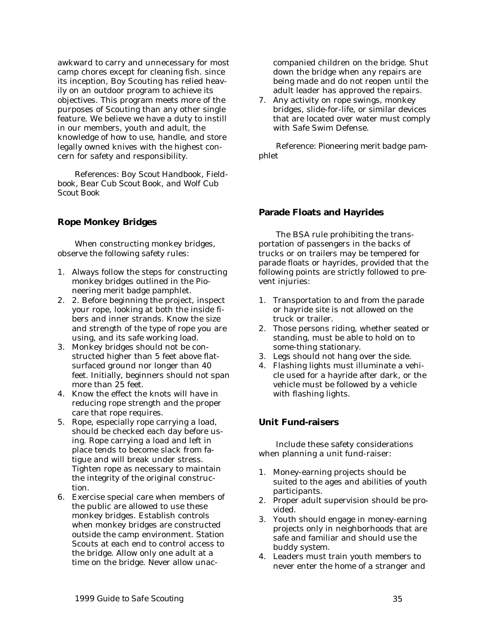<span id="page-34-0"></span>awkward to carry and unnecessary for most camp chores except for cleaning fish. since its inception, Boy Scouting has relied heavily on an outdoor program to achieve its objectives. This program meets more of the purposes of Scouting than any other single feature. We believe we have a duty to instill in our members, youth and adult, the knowledge of how to use, handle, and store legally owned knives with the highest concern for safety and responsibility.

*References: Boy Scout Handbook, Fieldbook, Bear Cub Scout Book, and Wolf Cub Scout Book*

#### **Rope Monkey Bridges**

When constructing monkey bridges, observe the following safety rules:

- 1. Always follow the steps for constructing monkey bridges outlined in the Pioneering merit badge pamphlet.
- 2. 2. Before beginning the project, inspect your rope, looking at both the inside fibers and inner strands. Know the size and strength of the type of rope you are using, and its safe working load.
- 3. Monkey bridges should not be constructed higher than 5 feet above flatsurfaced ground nor longer than 40 feet. Initially, beginners should not span more than 25 feet.
- 4. Know the effect the knots will have in reducing rope strength and the proper care that rope requires.
- 5. Rope, especially rope carrying a load, should be checked each day before using. Rope carrying a load and left in place tends to become slack from fatigue and will break under stress. Tighten rope as necessary to maintain the integrity of the original construction.
- 6. Exercise special care when members of the public are allowed to use these monkey bridges. Establish controls when monkey bridges are constructed outside the camp environment. Station Scouts at each end to control access to the bridge. Allow only one adult at a time on the bridge. Never allow unac-

companied children on the bridge. Shut down the bridge when any repairs are being made and do not reopen until the adult leader has approved the repairs.

7. Any activity on rope swings, monkey bridges, slide-for-life, or similar devices that are located over water must comply with Safe Swim Defense.

*Reference: Pioneering merit badge pamphlet*

#### **Parade Floats and Hayrides**

The BSA rule prohibiting the transportation of passengers in the backs of trucks or on trailers may be tempered for parade floats or hayrides, provided that the following points are strictly followed to prevent injuries:

- 1. Transportation to and from the parade or hayride site is not allowed on the truck or trailer.
- 2. Those persons riding, whether seated or standing, must be able to hold on to some-thing stationary.
- 3. Legs should not hang over the side.
- 4. Flashing lights must illuminate a vehicle used for a hayride after dark, or the vehicle must be followed by a vehicle with flashing lights.

#### **Unit Fund-raisers**

Include these safety considerations when planning a unit fund-raiser:

- 1. Money-earning projects should be suited to the ages and abilities of youth participants.
- 2. Proper adult supervision should be provided.
- 3. Youth should engage in money-earning projects only in neighborhoods that are safe and familiar and should use the buddy system.
- 4. Leaders must train youth members to never enter the home of a stranger and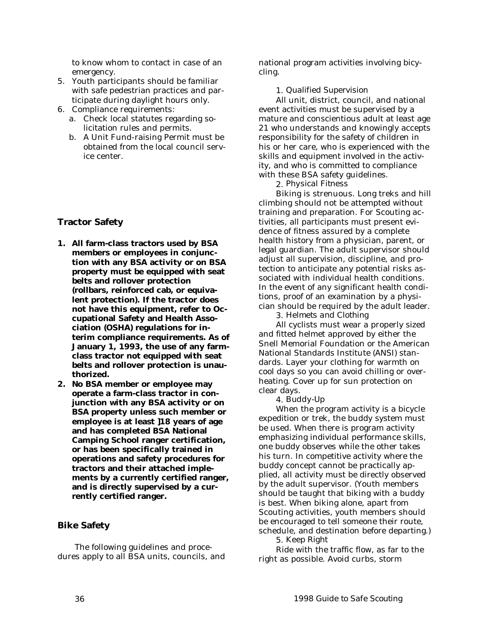<span id="page-35-0"></span>to know whom to contact in case of an emergency.

- 5. Youth participants should be familiar with safe pedestrian practices and participate during daylight hours only.
- 6. Compliance requirements:
	- a. Check local statutes regarding solicitation rules and permits.
	- b. A Unit Fund-raising Permit must be obtained from the local council service center.

# **Tractor Safety**

- **1. All farm-class tractors used by BSA members or employees in conjunction with any BSA activity or on BSA property must be equipped with seat belts and rollover protection (rollbars, reinforced cab, or equivalent protection). If the tractor does not have this equipment, refer to Occupational Safety and Health Association (OSHA) regulations for interim compliance requirements. As of January 1, 1993, the use of any farmclass tractor not equipped with seat belts and rollover protection is unauthorized.**
- **2. No BSA member or employee may operate a farm-class tractor in conjunction with any BSA activity or on BSA property unless such member or employee is at least ]18 years of age and has completed BSA National Camping School ranger certification, or has been specifically trained in operations and safety procedures for tractors and their attached implements by a currently certified ranger, and is directly supervised by a currently certified ranger.**

# **Bike Safety**

The following guidelines and procedures apply to all BSA units, councils, and national program activities involving bicycling.

#### 1. *Qualified Supervision*

All unit, district, council, and national event activities must be supervised by a mature and conscientious adult at least age 21 who understands and knowingly accepts responsibility for the safety of children in his or her care, who is experienced with the skills and equipment involved in the activity, and who is committed to compliance with these BSA safety guidelines.

2. *Physical Fitness*

Biking is strenuous. Long treks and hill climbing should not be attempted without training and preparation. For Scouting activities, all participants must present evidence of fitness assured by a complete health history from a physician, parent, or legal guardian. The adult supervisor should adjust all supervision, discipline, and protection to anticipate any potential risks associated with individual health conditions. In the event of any significant health conditions, proof of an examination by a physician should be required by the adult leader.

3. *Helmets and Clothing*

All cyclists must wear a properly sized and fitted helmet approved by either the Snell Memorial Foundation or the American National Standards Institute (ANSI) standards. Layer your clothing for warmth on cool days so you can avoid chilling or overheating. Cover up for sun protection on clear days.

## 4. *Buddy-Up*

When the program activity is a bicycle expedition or trek, the buddy system must be used. When there is program activity emphasizing individual performance skills, one buddy observes while the other takes his turn. In competitive activity where the buddy concept cannot be practically applied, all activity must be directly observed by the adult supervisor. (Youth members should be taught that biking with a buddy is best. When biking alone, apart from Scouting activities, youth members should be encouraged to tell someone their route, schedule, and destination before departing.)

5. *Keep Right*

Ride with the traffic flow, as far to the right as possible. Avoid curbs, storm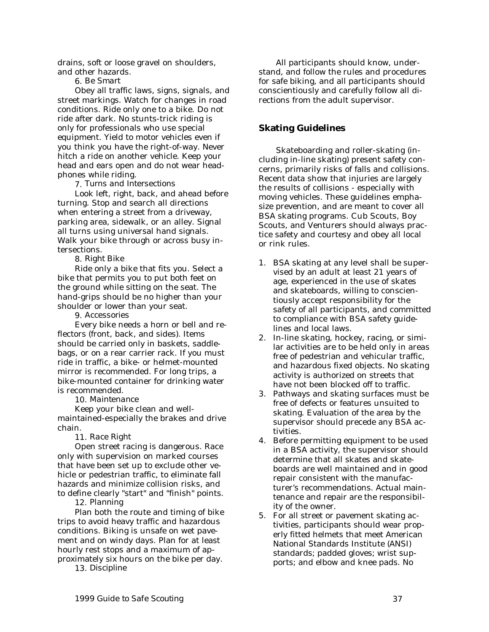<span id="page-36-0"></span>drains, soft or loose gravel on shoulders, and other hazards.

6. *Be Smart*

Obey all traffic laws, signs, signals, and street markings. Watch for changes in road conditions. Ride only one to a bike. Do not ride after dark. No stunts-trick riding is only for professionals who use special equipment. Yield to motor vehicles even if you think you have the right-of-way. Never hitch a ride on another vehicle. Keep your head and ears open and do not wear headphones while riding.

7. *Turns and Intersections*

Look left, right, back, and ahead before turning. Stop and search all directions when entering a street from a driveway, parking area, sidewalk, or an alley. Signal all turns using universal hand signals. Walk your bike through or across busy intersections.

8. *Right Bike*

Ride only a bike that fits you. Select a bike that permits you to put both feet on the ground while sitting on the seat. The hand-grips should be no higher than your shoulder or lower than your seat.

9. *Accessories*

Every bike needs a horn or bell and reflectors (front, back, and sides). Items should be carried only in baskets, saddlebags, or on a rear carrier rack. If you must ride in traffic, a bike- or helmet-mounted mirror is recommended. For long trips, a bike-mounted container for drinking water is recommended.

10. *Maintenance*

Keep your bike clean and wellmaintained-especially the brakes and drive chain.

11. *Race Right*

Open street racing is dangerous. Race only with supervision on marked courses that have been set up to exclude other vehicle or pedestrian traffic, to eliminate fall hazards and minimize collision risks, and to define clearly "start" and "finish" points.

#### 12. *Planning*

Plan both the route and timing of bike trips to avoid heavy traffic and hazardous conditions. Biking is unsafe on wet pavement and on windy days. Plan for at least hourly rest stops and a maximum of approximately six hours on the bike per day.

13. *Discipline*

All participants should know, understand, and follow the rules and procedures for safe biking, and all participants should conscientiously and carefully follow all directions from the adult supervisor.

## **Skating Guidelines**

Skateboarding and roller-skating (including in-line skating) present safety concerns, primarily risks of falls and collisions. Recent data show that injuries are largely the results of collisions - especially with moving vehicles. These guidelines emphasize prevention, and are meant to cover all BSA skating programs. Cub Scouts, Boy Scouts, and Venturers should always practice safety and courtesy and obey all local or rink rules.

- 1. BSA skating at any level shall be supervised by an adult at least 21 years of age, experienced in the use of skates and skateboards, willing to conscientiously accept responsibility for the safety of all participants, and committed to compliance with BSA safety guidelines and local laws.
- 2. In-line skating, hockey, racing, or similar activities are to be held only in areas free of pedestrian and vehicular traffic, and hazardous fixed objects. No skating activity is authorized on streets that have not been blocked off to traffic.
- 3. Pathways and skating surfaces must be free of defects or features unsuited to skating. Evaluation of the area by the supervisor should precede any BSA activities.
- 4. Before permitting equipment to be used in a BSA activity, the supervisor should determine that all skates and skateboards are well maintained and in good repair consistent with the manufacturer's recommendations. Actual maintenance and repair are the responsibility of the owner.
- 5. For all street or pavement skating activities, participants should wear properly fitted helmets that meet American National Standards Institute (ANSI) standards; padded gloves; wrist supports; and elbow and knee pads. No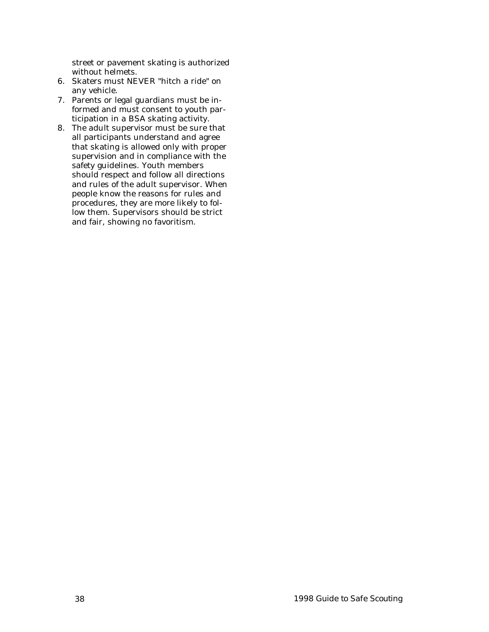street or pavement skating is authorized without helmets.

- 6. Skaters must NEVER "hitch a ride" on any vehicle.
- 7. Parents or legal guardians must be informed and must consent to youth participation in a BSA skating activity.
- 8. The adult supervisor must be sure that all participants understand and agree that skating is allowed only with proper supervision and in compliance with the safety guidelines. Youth members should respect and follow all directions and rules of the adult supervisor. When people know the reasons for rules and procedures, they are more likely to follow them. Supervisors should be strict and fair, showing no favoritism.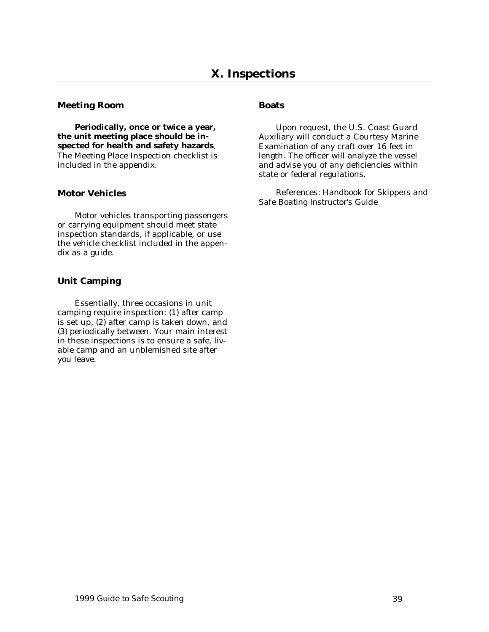#### <span id="page-38-0"></span>**Meeting Room**

**Periodically, once or twice a year, the unit meeting place should be inspected for health and safety hazards**. The Meeting Place Inspection checklist is included in the appendix.

## **Motor Vehicles**

Motor vehicles transporting passengers or carrying equipment should meet state inspection standards, if applicable, or use the vehicle checklist included in the appendix as a guide.

# **Unit Camping**

Essentially, three occasions in unit camping require inspection: (1) after camp is set up, (2) after camp is taken down, and (3) periodically between. Your main interest in these inspections is to ensure a safe, livable camp and an unblemished site after you leave.

## **Boats**

Upon request, the U.S. Coast Guard Auxiliary will conduct a Courtesy Marine Examination of any craft over 16 feet in length. The officer will analyze the vessel and advise you of any deficiencies within state or federal regulations.

*References: Handbook for Skippers and Safe Boating Instructor's Guide*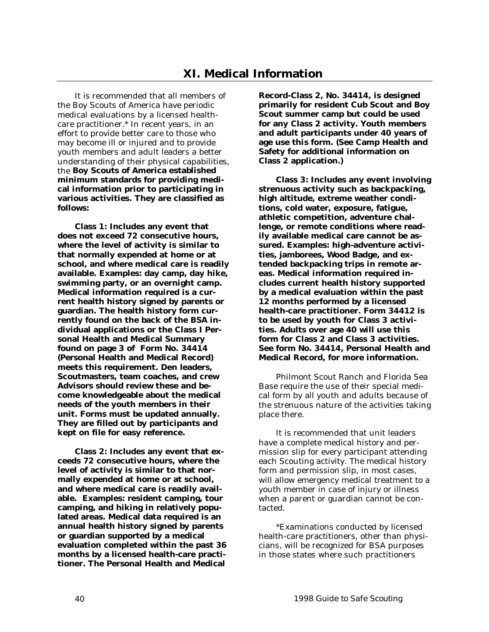<span id="page-39-0"></span>It is recommended that all members of the Boy Scouts of America have periodic medical evaluations by a licensed healthcare practitioner.\* In recent years, in an effort to provide better care to those who may become ill or injured and to provide youth members and adult leaders a better understanding of their physical capabilities, the **Boy Scouts of America established minimum standards for providing medical information prior to participating in various activities. They are classified as follows:**

**Class 1: Includes any event that does not exceed 72 consecutive hours, where the level of activity is similar to that normally expended at home or at school, and where medical care is readily available. Examples: day camp, day hike, swimming party, or an overnight camp. Medical information required is a current health history signed by parents or guardian. The health history form currently found on the back of the BSA individual applications or the Class I Personal Health and Medical Summary found on page 3 of Form No. 34414 (Personal Health and Medical Record) meets this requirement. Den leaders, Scoutmasters, team coaches, and crew Advisors should review these and become knowledgeable about the medical needs of the youth members in their unit. Forms must be updated annually. They are filled out by participants and kept on file for easy reference.**

**Class 2: Includes any event that exceeds 72 consecutive hours, where the level of activity is similar to that normally expended at home or at school, and where medical care is readily available. Examples: resident camping, tour camping, and hiking in relatively populated areas. Medical data required is an annual health history signed by parents or guardian supported by a medical evaluation completed within the past 36 months by a licensed health-care practitioner. The Personal Health and Medical**

**Record-Class 2, No. 34414, is designed primarily for resident Cub Scout and Boy Scout summer camp but could be used for any Class 2 activity. Youth members and adult participants under 40 years of age use this form. (See Camp Health and Safety for additional information on Class 2 application.)**

**Class 3: Includes any event involving strenuous activity such as backpacking, high altitude, extreme weather conditions, cold water, exposure, fatigue, athletic competition, adventure challenge, or remote conditions where readily available medical care cannot be assured. Examples: high-adventure activities, jamborees, Wood Badge, and extended backpacking trips in remote areas. Medical information required includes current health history supported by a medical evaluation within the past 12 months performed by a licensed health-care practitioner. Form 34412 is to be used by youth for Class 3 activities. Adults over age 40 will use this form for Class 2 and Class 3 activities. See form No. 34414, Personal Health and Medical Record, for more information.**

Philmont Scout Ranch and Florida Sea Base require the use of their special medical form by all youth and adults because of the strenuous nature of the activities taking place there.

It is recommended that unit leaders have a complete medical history and permission slip for every participant attending each Scouting activity. The medical history form and permission slip, in most cases, will allow emergency medical treatment to a youth member in case of injury or illness when a parent or guardian cannot be contacted.

\*Examinations conducted by licensed health-care practitioners, other than physicians, will be recognized for BSA purposes in those states where such practitioners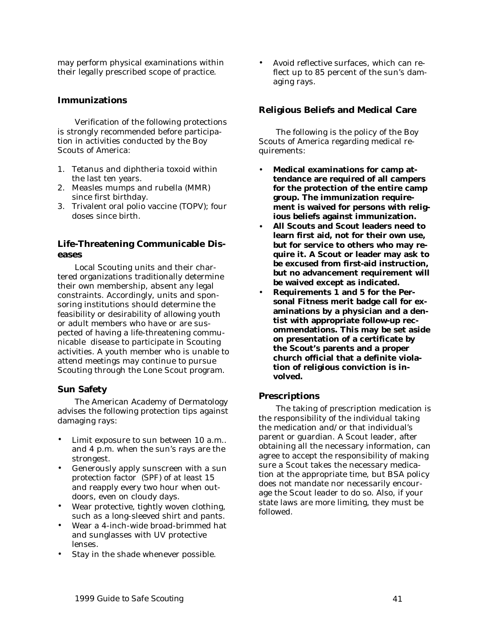<span id="page-40-0"></span>may perform physical examinations within their legally prescribed scope of practice.

#### **Immunizations**

Verification of the following protections is strongly recommended before participation in activities conducted by the Boy Scouts of America:

- 1. Tetanus and diphtheria toxoid within the last ten years.
- 2. Measles mumps and rubella (MMR) since first birthday.
- 3. Trivalent oral polio vaccine (TOPV); four doses since birth.

## **Life-Threatening Communicable Diseases**

Local Scouting units and their chartered organizations traditionally determine their own membership, absent any legal constraints. Accordingly, units and sponsoring institutions should determine the feasibility or desirability of allowing youth or adult members who have or are suspected of having a life-threatening communicable disease to participate in Scouting activities. A youth member who is unable to attend meetings may continue to pursue Scouting through the Lone Scout program.

#### **Sun Safety**

The American Academy of Dermatology advises the following protection tips against damaging rays:

- Limit exposure to sun between 10 a.m.. and 4 p.m. when the sun's rays are the strongest.
- Generously apply sunscreen with a sun protection factor (SPF) of at least 15 and reapply every two hour when outdoors, even on cloudy days.
- Wear protective, tightly woven clothing, such as a long-sleeved shirt and pants.
- Wear a 4-inch-wide broad-brimmed hat and sunglasses with UV protective lenses.
- Stay in the shade whenever possible.

• Avoid reflective surfaces, which can reflect up to 85 percent of the sun's damaging rays.

#### **Religious Beliefs and Medical Care**

The following is the policy of the Boy Scouts of America regarding medical requirements:

- **Medical examinations for camp attendance are required of all campers for the protection of the entire camp group. The immunization requirement is waived for persons with religious beliefs against immunization.**
- **All Scouts and Scout leaders need to learn first aid, not for their own use, but for service to others who may require it. A Scout or leader may ask to be excused from first-aid instruction, but no advancement requirement will be waived except as indicated.**
- **Requirements 1 and 5 for the Personal Fitness merit badge call for examinations by a physician and a dentist with appropriate follow-up recommendations. This may be set aside on presentation of a certificate by the Scout's parents and a proper church official that a definite violation of religious conviction is involved.**

#### **Prescriptions**

The taking of prescription medication is the responsibility of the individual taking the medication and/or that individual's parent or guardian. A Scout leader, after obtaining all the necessary information, can agree to accept the responsibility of making sure a Scout takes the necessary medication at the appropriate time, but BSA policy does not mandate nor necessarily encourage the Scout leader to do so. Also, if your state laws are more limiting, they must be followed.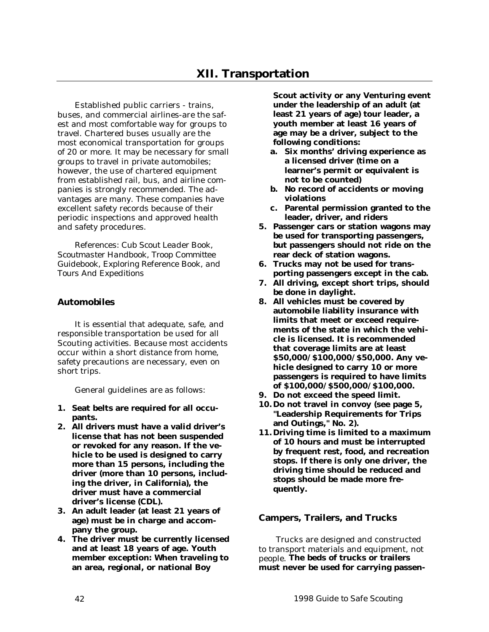<span id="page-41-0"></span>Established public carriers - trains, buses, and commercial airlines-are the safest and most comfortable way for groups to travel. Chartered buses usually are the most economical transportation for groups of 20 or more. It may be necessary for small groups to travel in private automobiles; however, the use of chartered equipment from established rail, bus, and airline companies is strongly recommended. The advantages are many. These companies have excellent safety records because of their periodic inspections and approved health and safety procedures.

*References: Cub Scout Leader Book, Scoutmaster Handbook, Troop Committee Guidebook, Exploring Reference Book, and Tours And Expeditions*

# **Automobiles**

It is essential that adequate, safe, and responsible transportation be used for all Scouting activities. Because most accidents occur within a short distance from home, safety precautions are necessary, even on short trips.

General guidelines are as follows:

- **1. Seat belts are required for all occupants.**
- **2. All drivers must have a valid driver's license that has not been suspended or revoked for any reason. If the vehicle to be used is designed to carry more than 15 persons, including the driver (more than 10 persons, including the driver, in California), the driver must have a commercial driver's license (CDL).**
- **3. An adult leader (at least 21 years of age) must be in charge and accompany the group.**
- **4. The driver must be currently licensed and at least 18 years of age. Youth member exception: When traveling to an area, regional, or national Boy**

**Scout activity or any Venturing event under the leadership of an adult (at least 21 years of age) tour leader, a youth member at least 16 years of age may be a driver, subject to the following conditions:**

- **a. Six months' driving experience as a licensed driver (time on a learner's permit or equivalent is not to be counted)**
- **b. No record of accidents or moving violations**
- **c. Parental permission granted to the leader, driver, and riders**
- **5. Passenger cars or station wagons may be used for transporting passengers, but passengers should not ride on the rear deck of station wagons.**
- **6. Trucks may not be used for transporting passengers except in the cab.**
- **7. All driving, except short trips, should be done in daylight.**
- **8. All vehicles must be covered by automobile liability insurance with limits that meet or exceed requirements of the state in which the vehicle is licensed. It is recommended that coverage limits are at least \$50,000/\$100,000/\$50,000. Any vehicle designed to carry 10 or more passengers is required to have limits of \$100,000/\$500,000/\$100,000.**
- **9. Do not exceed the speed limit.**
- **10.Do not travel in convoy (see page [5,](#page-4-0) "Leadership Requirements for Trips and Outings," No. 2).**
- **11.Driving time is limited to a maximum of 10 hours and must be interrupted by frequent rest, food, and recreation stops. If there is only one driver, the driving time should be reduced and stops should be made more frequently.**

## **Campers, Trailers, and Trucks**

Trucks are designed and constructed to transport materials and equipment, not people. **The beds of trucks or trailers must never be used for carrying passen-**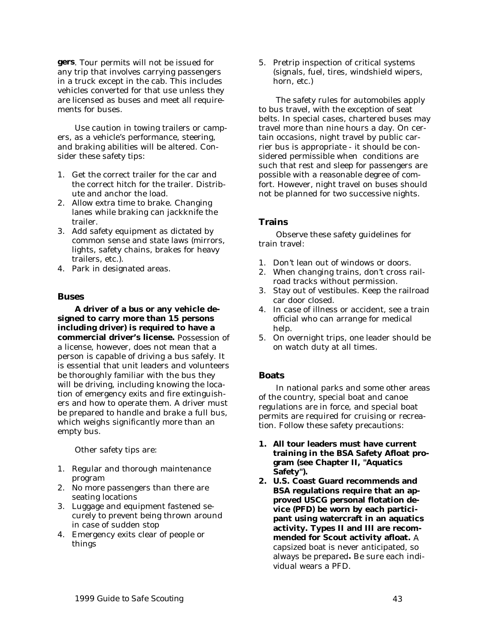<span id="page-42-0"></span>**gers**. Tour permits will not be issued for any trip that involves carrying passengers in a truck except in the cab. This includes vehicles converted for that use unless they are licensed as buses and meet all requirements for buses.

Use caution in towing trailers or campers, as a vehicle's performance, steering, and braking abilities will be altered. Consider these safety tips:

- 1. Get the correct trailer for the car and the correct hitch for the trailer. Distribute and anchor the load.
- 2. Allow extra time to brake. Changing lanes while braking can jackknife the trailer.
- 3. Add safety equipment as dictated by common sense and state laws (mirrors, lights, safety chains, brakes for heavy trailers, etc.).
- 4. Park in designated areas.

#### **Buses**

**A driver of a bus or any vehicle designed to carry more than 15 persons including driver) is required to have a commercial driver's license.** Possession of a license, however, does not mean that a person is capable of driving a bus safely. It is essential that unit leaders and volunteers be thoroughly familiar with the bus they will be driving, including knowing the location of emergency exits and fire extinguishers and how to operate them. A driver must be prepared to handle and brake a full bus, which weighs significantly more than an empty bus.

Other safety tips are:

- 1. Regular and thorough maintenance program
- 2. No more passengers than there are seating locations
- 3. Luggage and equipment fastened securely to prevent being thrown around in case of sudden stop
- 4. Emergency exits clear of people or things

5. Pretrip inspection of critical systems (signals, fuel, tires, windshield wipers, horn, etc.)

The safety rules for automobiles apply to bus travel, with the exception of seat belts. In special cases, chartered buses may travel more than nine hours a day. On certain occasions, night travel by public carrier bus is appropriate - it should be considered permissible when conditions are such that rest and sleep for passengers are possible with a reasonable degree of comfort. However, night travel on buses should not be planned for two successive nights.

## **Trains**

Observe these safety guidelines for train travel:

- 1. Don't lean out of windows or doors.
- 2. When changing trains, don't cross railroad tracks without permission.
- 3. Stay out of vestibules. Keep the railroad car door closed.
- 4. In case of illness or accident, see a train official who can arrange for medical help.
- 5. On overnight trips, one leader should be on watch duty at all times.

## **Boats**

In national parks and some other areas of the country, special boat and canoe regulations are in force, and special boat permits are required for cruising or recreation. Follow these safety precautions:

- **1. All tour leaders must have current training in the BSA Safety Afloat program (see Chapter II, "Aquatics Safety").**
- **2. U.S. Coast Guard recommends and BSA regulations require that an approved USCG personal flotation device (PFD) be worn by each participant using watercraft in an aquatics activity. Types II and III are recommended for Scout activity afloat.** A capsized boat is never anticipated, so always be prepared**.** Be sure each individual wears a PFD.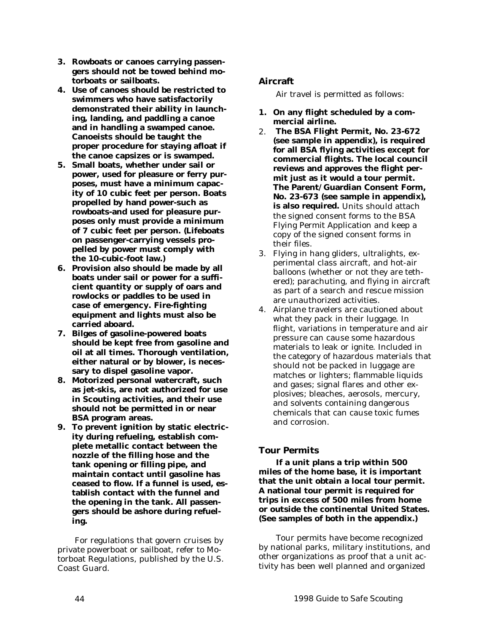- <span id="page-43-0"></span>**3. Rowboats or canoes carrying passengers should not be towed behind motorboats or sailboats.**
- **4. Use of canoes should be restricted to swimmers who have satisfactorily demonstrated their ability in launching, landing, and paddling a canoe and in handling a swamped canoe. Canoeists should be taught the proper procedure for staying afloat if the canoe capsizes or is swamped.**
- **5. Small boats, whether under sail or power, used for pleasure or ferry purposes, must have a minimum capacity of 10 cubic feet per person. Boats propelled by hand power-such as rowboats-and used for pleasure purposes only must provide a minimum of 7 cubic feet per person. (Lifeboats on passenger-carrying vessels propelled by power must comply with the 10-cubic-foot law.)**
- **6. Provision also should be made by all boats under sail or power for a sufficient quantity or supply of oars and rowlocks or paddles to be used in case of emergency. Fire-fighting equipment and lights must also be carried aboard.**
- **7. Bilges of gasoline-powered boats should be kept free from gasoline and oil at all times. Thorough ventilation, either natural or by blower, is necessary to dispel gasoline vapor.**
- **8. Motorized personal watercraft, such as jet-skis, are not authorized for use in Scouting activities, and their use should not be permitted in or near BSA program areas.**
- **9. To prevent ignition by static electricity during refueling, establish complete metallic contact between the nozzle of the filling hose and the tank opening or filling pipe, and maintain contact until gasoline has ceased to flow. If a funnel is used, establish contact with the funnel and the opening in the tank. All passengers should be ashore during refueling.**

For regulations that govern cruises by private powerboat or sailboat, refer to Motorboat Regulations, published by the U.S. Coast Guard.

# **Aircraft**

Air travel is permitted as follows:

- **1. On any flight scheduled by a commercial airline.**
- 2. **The BSA Flight Permit, No. 23-672 (see sample in appendix), is required for all BSA flying activities except for commercial flights. The local council reviews and approves the flight permit just as it would a tour permit. The Parent/Guardian Consent Form, No. 23-673 (see sample in appendix), is also required.** Units should attach the signed consent forms to the BSA Flying Permit Application and keep a copy of the signed consent forms in their files.
- 3. Flying in hang gliders, ultralights, experimental class aircraft, and hot-air balloons (whether or not they are tethered); parachuting, and flying in aircraft as part of a search and rescue mission are unauthorized activities.
- 4. Airplane travelers are cautioned about what they pack in their luggage. In flight, variations in temperature and air pressure can cause some hazardous materials to leak or ignite. Included in the category of hazardous materials that should not be packed in luggage are matches or lighters; flammable liquids and gases; signal flares and other explosives; bleaches, aerosols, mercury, and solvents containing dangerous chemicals that can cause toxic fumes and corrosion.

# **Tour Permits**

**If a unit plans a trip within 500 miles of the home base, it is important that the unit obtain a local tour permit. A national tour permit is required for trips in excess of 500 miles from home or outside the continental United States. (See samples of both in the appendix.)**

Tour permits have become recognized by national parks, military institutions, and other organizations as proof that a unit activity has been well planned and organized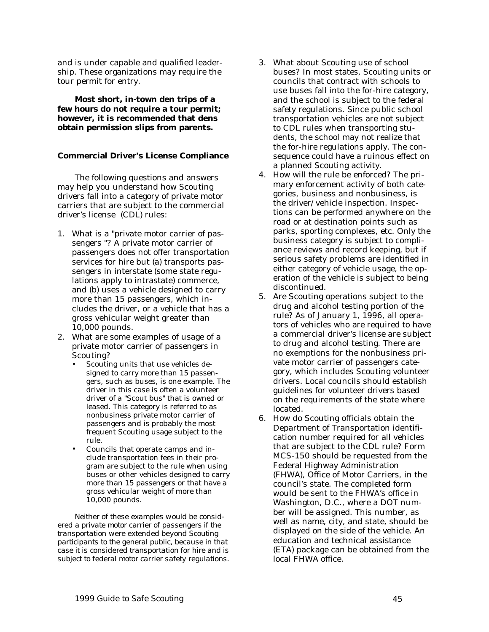<span id="page-44-0"></span>and is under capable and qualified leadership. These organizations may require the tour permit for entry.

**Most short, in-town den trips of a few hours do not require a tour permit; however, it is recommended that dens obtain permission slips from parents.**

## **Commercial Driver's License Compliance**

The following questions and answers may help you understand how Scouting drivers fall into a category of private motor carriers that are subject to the commercial driver's license (CDL) rules:

- 1. What is a "private motor carrier of passengers "? A private motor carrier of passengers does not offer transportation services for hire but (a) transports passengers in interstate (some state regulations apply to intrastate) commerce, and (b) uses a vehicle designed to carry more than 15 passengers, which includes the driver, or a vehicle that has a gross vehicular weight greater than 10,000 pounds.
- 2. What are some examples of usage of a private motor carrier of passengers in Scouting?
	- Scouting units that use vehicles designed to carry more than 15 passengers, such as buses, is one example. The driver in this case is often a volunteer driver of a "Scout bus" that is owned or leased. This category is referred to as nonbusiness private motor carrier of passengers and is probably the most frequent Scouting usage subject to the rule.
	- Councils that operate camps and include transportation fees in their program are subject to the rule when using buses or other vehicles designed to carry more than 15 passengers or that have a gross vehicular weight of more than 10,000 pounds.

*Neither of these examples would be considered a private motor carrier of passengers if the transportation were extended beyond Scouting participants to the general public, because in that case it is considered transportation for hire and is subject to federal motor carrier safety regulations.*

- 3. What about Scouting use of school buses? In most states, Scouting units or councils that contract with schools to use buses fall into the for-hire category, and the school is subject to the federal safety regulations. Since public school transportation vehicles are not subject to CDL rules when transporting students, the school may not realize that the for-hire regulations apply. The consequence could have a ruinous effect on a planned Scouting activity.
- 4. How will the rule be enforced? The primary enforcement activity of both categories, business and nonbusiness, is the driver/vehicle inspection. Inspections can be performed anywhere on the road or at destination points such as parks, sporting complexes, etc. Only the business category is subject to compliance reviews and record keeping, but if serious safety problems are identified in either category of vehicle usage, the operation of the vehicle is subject to being discontinued.
- 5. Are Scouting operations subject to the drug and alcohol testing portion of the rule? As of January 1, 1996, all operators of vehicles who are required to have a commercial driver's license are subject to drug and alcohol testing. There are no exemptions for the nonbusiness private motor carrier of passengers category, which includes Scouting volunteer drivers. Local councils should establish guidelines for volunteer drivers based on the requirements of the state where located.
- 6. How do Scouting officials obtain the Department of Transportation identification number required for all vehicles that are subject to the CDL rule? Form MCS-150 should be requested from the Federal Highway Administration (FHWA), Office of Motor Carriers, in the council's state. The completed form would be sent to the FHWA's office in Washington, D.C., where a DOT number will be assigned. This number, as well as name, city, and state, should be displayed on the side of the vehicle. An education and technical assistance (ETA) package can be obtained from the local FHWA office.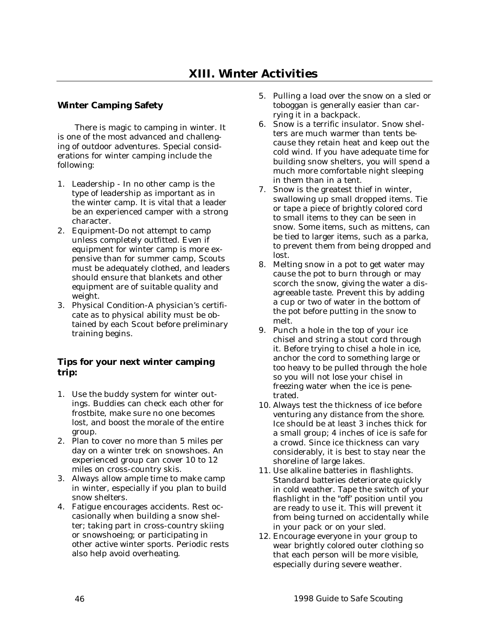# <span id="page-45-0"></span>**Winter Camping Safety**

There is magic to camping in winter. It is one of the most advanced and challenging of outdoor adventures. Special considerations for winter camping include the following:

- 1. Leadership In no other camp is the type of leadership as important as in the winter camp. It is vital that a leader be an experienced camper with a strong character.
- 2. Equipment-Do not attempt to camp unless completely outfitted. Even if equipment for winter camp is more expensive than for summer camp, Scouts must be adequately clothed, and leaders should ensure that blankets and other equipment are of suitable quality and weight.
- 3. Physical Condition-A physician's certificate as to physical ability must be obtained by each Scout before preliminary training begins.

# **Tips for your next winter camping trip:**

- 1. Use the buddy system for winter outings. Buddies can check each other for frostbite, make sure no one becomes lost, and boost the morale of the entire group.
- 2. Plan to cover no more than 5 miles per day on a winter trek on snowshoes. An experienced group can cover 10 to 12 miles on cross-country skis.
- 3. Always allow ample time to make camp in winter, especially if you plan to build snow shelters.
- 4. Fatigue encourages accidents. Rest occasionally when building a snow shelter; taking part in cross-country skiing or snowshoeing; or participating in other active winter sports. Periodic rests also help avoid overheating.
- 5. Pulling a load over the snow on a sled or toboggan is generally easier than carrying it in a backpack.
- 6. Snow is a terrific insulator. Snow shelters are much warmer than tents because they retain heat and keep out the cold wind. If you have adequate time for building snow shelters, you will spend a much more comfortable night sleeping in them than in a tent.
- 7. Snow is the greatest thief in winter, swallowing up small dropped items. Tie or tape a piece of brightly colored cord to small items to they can be seen in snow. Some items, such as mittens, can be tied to larger items, such as a parka, to prevent them from being dropped and lost.
- 8. Melting snow in a pot to get water may cause the pot to burn through or may scorch the snow, giving the water a disagreeable taste. Prevent this by adding a cup or two of water in the bottom of the pot before putting in the snow to melt.
- 9. Punch a hole in the top of your ice chisel and string a stout cord through it. Before trying to chisel a hole in ice, anchor the cord to something large or too heavy to be pulled through the hole so you will not lose your chisel in freezing water when the ice is penetrated.
- 10. Always test the thickness of ice before venturing any distance from the shore. Ice should be at least 3 inches thick for a small group; 4 inches of ice is safe for a crowd. Since ice thickness can vary considerably, it is best to stay near the shoreline of large lakes.
- 11. Use alkaline batteries in flashlights. Standard batteries deteriorate quickly in cold weather. Tape the switch of your flashlight in the "off' position until you are ready to use it. This will prevent it from being turned on accidentally while in your pack or on your sled.
- 12. Encourage everyone in your group to wear brightly colored outer clothing so that each person will be more visible, especially during severe weather.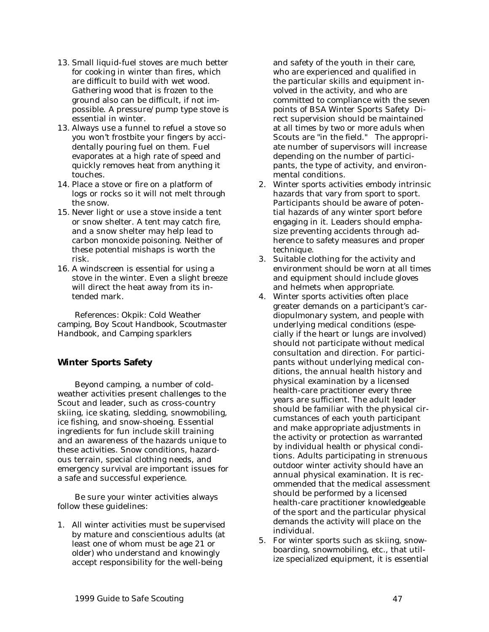- <span id="page-46-0"></span>13. Small liquid-fuel stoves are much better for cooking in winter than fires, which are difficult to build with wet wood. Gathering wood that is frozen to the ground also can be difficult, if not impossible. A pressure/pump type stove is essential in winter.
- 13. Always use a funnel to refuel a stove so you won't frostbite your fingers by accidentally pouring fuel on them. Fuel evaporates at a high rate of speed and quickly removes heat from anything it touches.
- 14. Place a stove or fire on a platform of logs or rocks so it will not melt through the snow.
- 15. Never light or use a stove inside a tent or snow shelter. A tent may catch fire, and a snow shelter may help lead to carbon monoxide poisoning. Neither of these potential mishaps is worth the risk.
- 16. A windscreen is essential for using a stove in the winter. Even a slight breeze will direct the heat away from its intended mark.

*References: Okpik: Cold Weather camping, Boy Scout Handbook, Scoutmaster Handbook, and Camping sparklers*

## **Winter Sports Safety**

Beyond camping, a number of coldweather activities present challenges to the Scout and leader, such as cross-country skiing, ice skating, sledding, snowmobiling, ice fishing, and snow-shoeing. Essential ingredients for fun include skill training and an awareness of the hazards unique to these activities. Snow conditions, hazardous terrain, special clothing needs, and emergency survival are important issues for a safe and successful experience.

Be sure your winter activities always follow these guidelines:

1. All winter activities must be supervised by mature and conscientious adults (at least one of whom must be age 21 or older) who understand and knowingly accept responsibility for the well-being

and safety of the youth in their care, who are experienced and qualified in the particular skills and equipment involved in the activity, and who are committed to compliance with the seven points of BSA Winter Sports Safety Direct supervision should be maintained at all times by two or more aduls when Scouts are "in the field." The appropriate number of supervisors will increase depending on the number of participants, the type of activity, and environmental conditions.

- 2. Winter sports activities embody intrinsic hazards that vary from sport to sport. Participants should be aware of potential hazards of any winter sport before engaging in it. Leaders should emphasize preventing accidents through adherence to safety measures and proper technique.
- 3. Suitable clothing for the activity and environment should be worn at all times and equipment should include gloves and helmets when appropriate.
- 4. Winter sports activities often place greater demands on a participant's cardiopulmonary system, and people with underlying medical conditions (especially if the heart or lungs are involved) should not participate without medical consultation and direction. For participants without underlying medical conditions, the annual health history and physical examination by a licensed health-care practitioner every three years are sufficient. The adult leader should be familiar with the physical circumstances of each youth participant and make appropriate adjustments in the activity or protection as warranted by individual health or physical conditions. Adults participating in strenuous outdoor winter activity should have an annual physical examination. It is recommended that the medical assessment should be performed by a licensed health-care practitioner knowledgeable of the sport and the particular physical demands the activity will place on the individual.
- 5. For winter sports such as skiing, snowboarding, snowmobiling, etc., that utilize specialized equipment, it is essential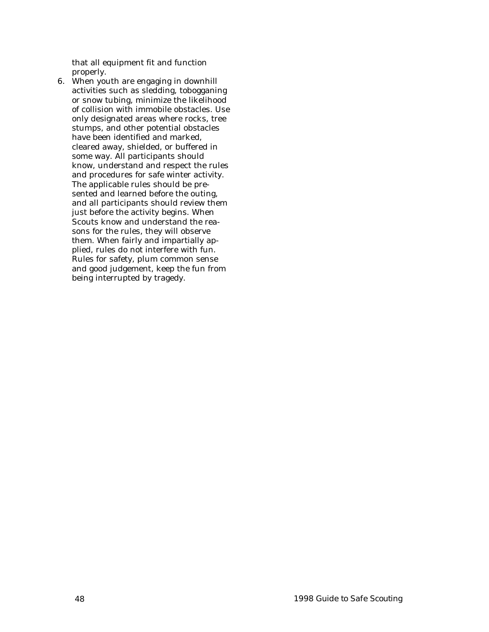that all equipment fit and function properly.

6. When youth are engaging in downhill activities such as sledding, tobogganing or snow tubing, minimize the likelihood of collision with immobile obstacles. Use only designated areas where rocks, tree stumps, and other potential obstacles have been identified and marked, cleared away, shielded, or buffered in some way. All participants should know, understand and respect the rules and procedures for safe winter activity. The applicable rules should be presented and learned before the outing, and all participants should review them just before the activity begins. When Scouts know and understand the reasons for the rules, they will observe them. When fairly and impartially applied, rules do not interfere with fun. Rules for safety, plum common sense and good judgement, keep the fun from being interrupted by tragedy.